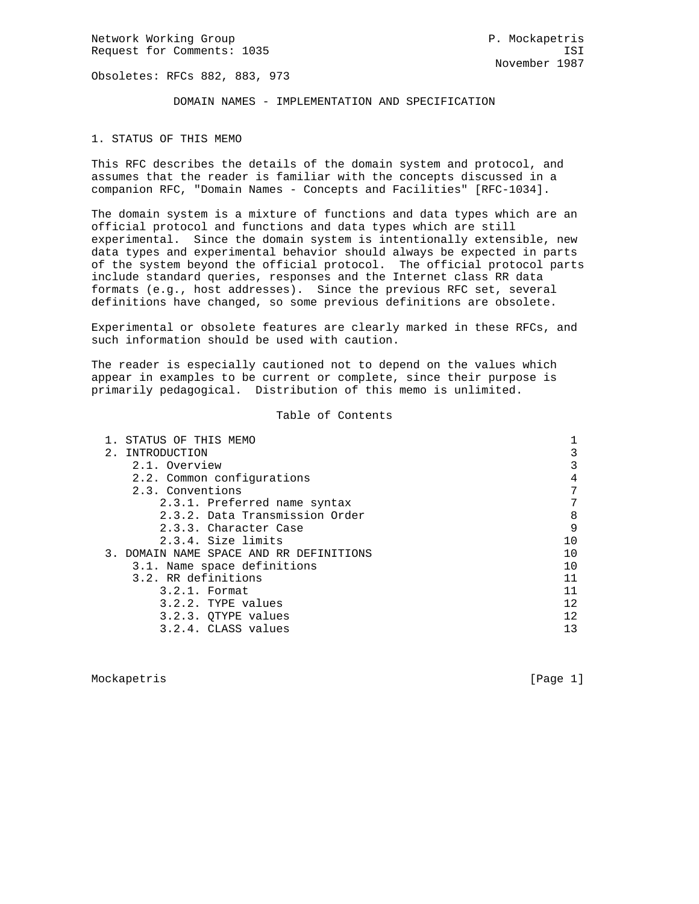Obsoletes: RFCs 882, 883, 973

DOMAIN NAMES - IMPLEMENTATION AND SPECIFICATION

## 1. STATUS OF THIS MEMO

This RFC describes the details of the domain system and protocol, and assumes that the reader is familiar with the concepts discussed in a companion RFC, "Domain Names - Concepts and Facilities" [RFC-1034].

The domain system is a mixture of functions and data types which are an official protocol and functions and data types which are still experimental. Since the domain system is intentionally extensible, new data types and experimental behavior should always be expected in parts of the system beyond the official protocol. The official protocol parts include standard queries, responses and the Internet class RR data formats (e.g., host addresses). Since the previous RFC set, several definitions have changed, so some previous definitions are obsolete.

Experimental or obsolete features are clearly marked in these RFCs, and such information should be used with caution.

The reader is especially cautioned not to depend on the values which appear in examples to be current or complete, since their purpose is primarily pedagogical. Distribution of this memo is unlimited.

#### Table of Contents

| 3<br>INTRODUCTION<br>3<br>2.1. Overview<br>2.2. Common configurations<br>4<br>7<br>2.3. Conventions<br>7<br>2.3.1. Preferred name syntax<br>2.3.2. Data Transmission Order<br>8<br>9<br>2.3.3. Character Case<br>2.3.4. Size limits<br>10<br>10<br>3. DOMAIN NAME SPACE AND RR DEFINITIONS<br>10<br>3.1. Name space definitions<br>3.2. RR definitions<br>11<br>11<br>$3.2.1.$ Format<br>12<br>3.2.2. TYPE values<br>12<br>3.2.3. OTYPE values | STATUS OF THIS MEMO |  |
|------------------------------------------------------------------------------------------------------------------------------------------------------------------------------------------------------------------------------------------------------------------------------------------------------------------------------------------------------------------------------------------------------------------------------------------------|---------------------|--|
|                                                                                                                                                                                                                                                                                                                                                                                                                                                |                     |  |
|                                                                                                                                                                                                                                                                                                                                                                                                                                                |                     |  |
|                                                                                                                                                                                                                                                                                                                                                                                                                                                |                     |  |
|                                                                                                                                                                                                                                                                                                                                                                                                                                                |                     |  |
|                                                                                                                                                                                                                                                                                                                                                                                                                                                |                     |  |
|                                                                                                                                                                                                                                                                                                                                                                                                                                                |                     |  |
|                                                                                                                                                                                                                                                                                                                                                                                                                                                |                     |  |
|                                                                                                                                                                                                                                                                                                                                                                                                                                                |                     |  |
|                                                                                                                                                                                                                                                                                                                                                                                                                                                |                     |  |
|                                                                                                                                                                                                                                                                                                                                                                                                                                                |                     |  |
|                                                                                                                                                                                                                                                                                                                                                                                                                                                |                     |  |
|                                                                                                                                                                                                                                                                                                                                                                                                                                                |                     |  |
|                                                                                                                                                                                                                                                                                                                                                                                                                                                |                     |  |
|                                                                                                                                                                                                                                                                                                                                                                                                                                                |                     |  |
| 13<br>3.2.4. CLASS values                                                                                                                                                                                                                                                                                                                                                                                                                      |                     |  |

Mockapetris [Page 1]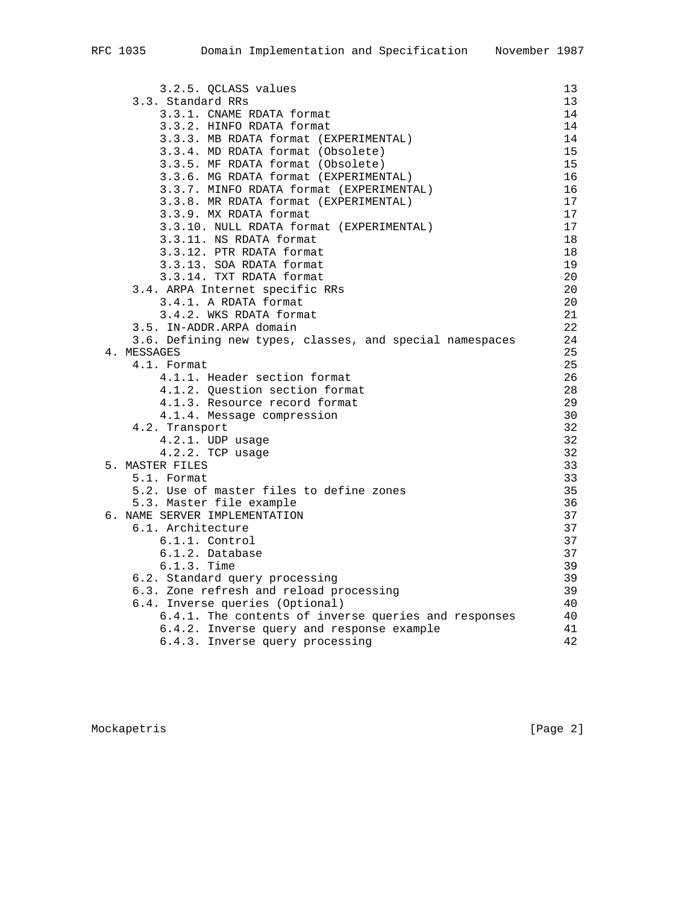| 3.2.5. QCLASS values                                                    | 13       |
|-------------------------------------------------------------------------|----------|
| 3.3. Standard RRs                                                       | 13       |
| 3.3.1. CNAME RDATA format                                               | 14       |
| 3.3.2. HINFO RDATA format                                               | 14       |
| 3.3.3. MB RDATA format (EXPERIMENTAL)                                   | 14       |
| 3.3.4. MD RDATA format (Obsolete)                                       | 15       |
| 3.3.5. MF RDATA format (Obsolete)                                       | 15       |
| 3.3.6. MG RDATA format (EXPERIMENTAL)                                   | 16       |
| 3.3.7. MINFO RDATA format (EXPERIMENTAL)                                | 16       |
| 3.3.8. MR RDATA format (EXPERIMENTAL)                                   | 17       |
| 3.3.9. MX RDATA format                                                  | 17       |
| 3.3.10. NULL RDATA format (EXPERIMENTAL)                                | 17       |
| 3.3.11. NS RDATA format                                                 | 18       |
| 3.3.12. PTR RDATA format                                                | 18       |
| 3.3.13. SOA RDATA format                                                | 19       |
| 3.3.14. TXT RDATA format                                                | 20       |
| 3.4. ARPA Internet specific RRs                                         | 20       |
| 3.4.1. A RDATA format                                                   | 20       |
| 3.4.2. WKS RDATA format<br>3.5. IN-ADDR.ARPA domain                     | 21<br>22 |
|                                                                         | 24       |
| 3.6. Defining new types, classes, and special namespaces<br>4. MESSAGES | 25       |
| 4.1. Format                                                             | 25       |
| 4.1.1. Header section format                                            | 26       |
| 4.1.2. Question section format                                          | 28       |
| 4.1.3. Resource record format                                           | 29       |
| 4.1.4. Message compression                                              | 30       |
| 4.2. Transport                                                          | 32       |
| 4.2.1. UDP usage                                                        | 32       |
| 4.2.2. TCP usage                                                        | 32       |
| 5. MASTER FILES                                                         | 33       |
| 5.1. Format                                                             | 33       |
| 5.2. Use of master files to define zones                                | 35       |
| 5.3. Master file example                                                | 36       |
| 6. NAME SERVER IMPLEMENTATION                                           | 37       |
| 6.1. Architecture                                                       | 37       |
| $6.1.1.$ Control                                                        | 37       |
| 6.1.2. Database                                                         | 37       |
| 6.1.3. Time                                                             | 39       |
| 6.2. Standard query processing                                          | 39       |
| 6.3. Zone refresh and reload processing                                 | 39       |
| 6.4. Inverse queries (Optional)                                         | 40       |
| 6.4.1. The contents of inverse queries and responses                    | 40       |
| 6.4.2. Inverse query and response example                               | 41       |
| 6.4.3. Inverse query processing                                         | 42       |

Mockapetris [Page 2]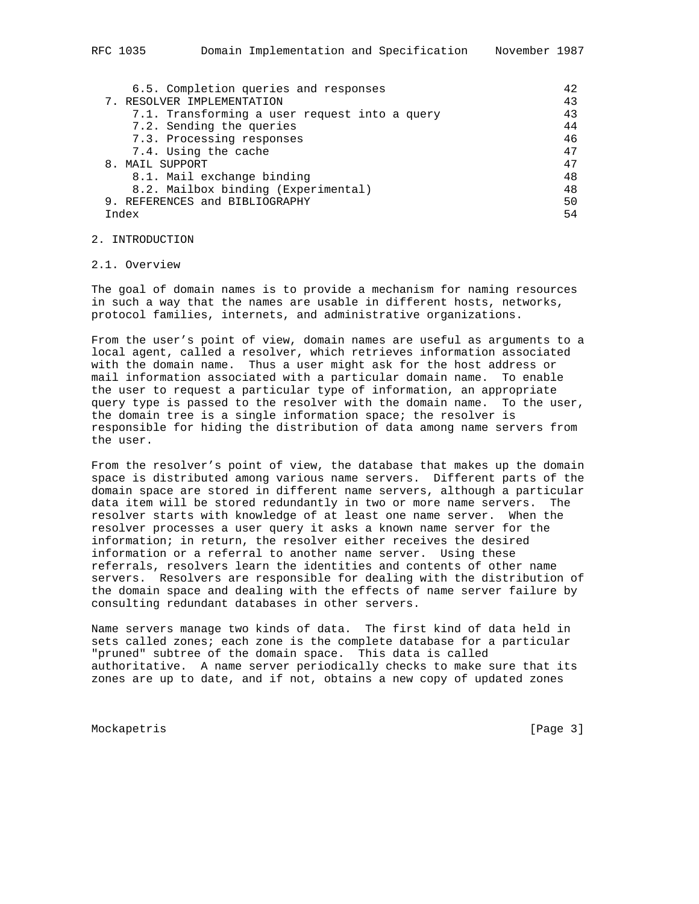| 6.5. Completion queries and responses         | 42 |
|-----------------------------------------------|----|
| 7. RESOLVER IMPLEMENTATION                    | 43 |
| 7.1. Transforming a user request into a query | 43 |
| 7.2. Sending the queries                      | 44 |
| 7.3. Processing responses                     | 46 |
| 7.4. Using the cache                          | 47 |
| 8. MAIL SUPPORT                               | 47 |
| 8.1. Mail exchange binding                    | 48 |
| 8.2. Mailbox binding (Experimental)           | 48 |
| 9. REFERENCES and BIBLIOGRAPHY                | 50 |
| Index                                         | 54 |
|                                               |    |

## 2. INTRODUCTION

2.1. Overview

The goal of domain names is to provide a mechanism for naming resources in such a way that the names are usable in different hosts, networks, protocol families, internets, and administrative organizations.

From the user's point of view, domain names are useful as arguments to a local agent, called a resolver, which retrieves information associated with the domain name. Thus a user might ask for the host address or mail information associated with a particular domain name. To enable the user to request a particular type of information, an appropriate query type is passed to the resolver with the domain name. To the user, the domain tree is a single information space; the resolver is responsible for hiding the distribution of data among name servers from the user.

From the resolver's point of view, the database that makes up the domain space is distributed among various name servers. Different parts of the domain space are stored in different name servers, although a particular data item will be stored redundantly in two or more name servers. The resolver starts with knowledge of at least one name server. When the resolver processes a user query it asks a known name server for the information; in return, the resolver either receives the desired information or a referral to another name server. Using these referrals, resolvers learn the identities and contents of other name servers. Resolvers are responsible for dealing with the distribution of the domain space and dealing with the effects of name server failure by consulting redundant databases in other servers.

Name servers manage two kinds of data. The first kind of data held in sets called zones; each zone is the complete database for a particular "pruned" subtree of the domain space. This data is called authoritative. A name server periodically checks to make sure that its zones are up to date, and if not, obtains a new copy of updated zones

Mockapetris [Page 3]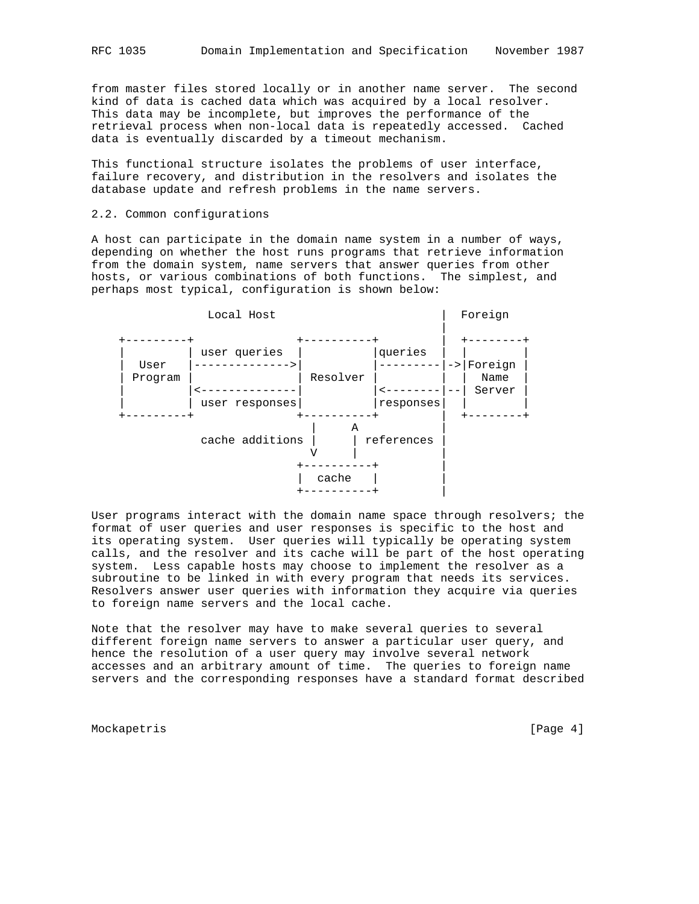from master files stored locally or in another name server. The second kind of data is cached data which was acquired by a local resolver. This data may be incomplete, but improves the performance of the retrieval process when non-local data is repeatedly accessed. Cached data is eventually discarded by a timeout mechanism.

This functional structure isolates the problems of user interface, failure recovery, and distribution in the resolvers and isolates the database update and refresh problems in the name servers.

## 2.2. Common configurations

A host can participate in the domain name system in a number of ways, depending on whether the host runs programs that retrieve information from the domain system, name servers that answer queries from other hosts, or various combinations of both functions. The simplest, and perhaps most typical, configuration is shown below:



User programs interact with the domain name space through resolvers; the format of user queries and user responses is specific to the host and its operating system. User queries will typically be operating system calls, and the resolver and its cache will be part of the host operating system. Less capable hosts may choose to implement the resolver as a subroutine to be linked in with every program that needs its services. Resolvers answer user queries with information they acquire via queries to foreign name servers and the local cache.

Note that the resolver may have to make several queries to several different foreign name servers to answer a particular user query, and hence the resolution of a user query may involve several network accesses and an arbitrary amount of time. The queries to foreign name servers and the corresponding responses have a standard format described

Mockapetris [Page 4]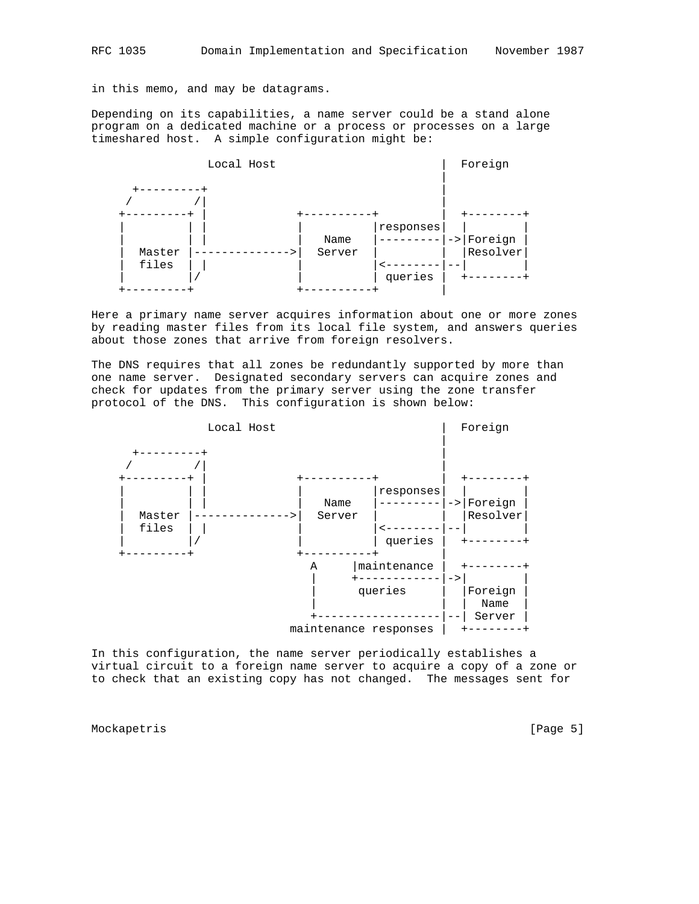in this memo, and may be datagrams.

Depending on its capabilities, a name server could be a stand alone program on a dedicated machine or a process or processes on a large timeshared host. A simple configuration might be:



Here a primary name server acquires information about one or more zones by reading master files from its local file system, and answers queries about those zones that arrive from foreign resolvers.

The DNS requires that all zones be redundantly supported by more than one name server. Designated secondary servers can acquire zones and check for updates from the primary server using the zone transfer protocol of the DNS. This configuration is shown below:



In this configuration, the name server periodically establishes a virtual circuit to a foreign name server to acquire a copy of a zone or to check that an existing copy has not changed. The messages sent for

Mockapetris [Page 5]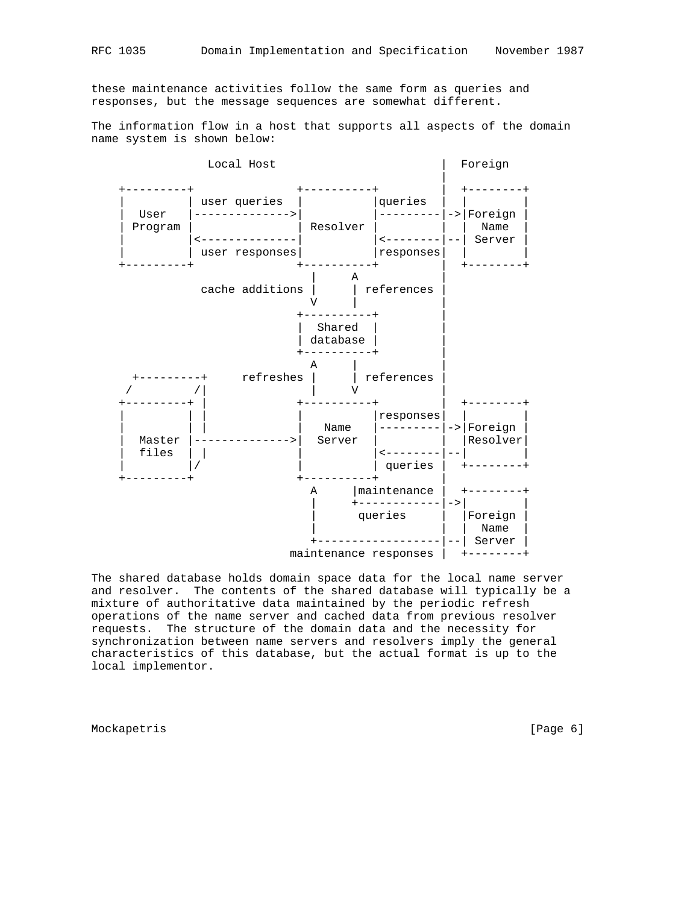these maintenance activities follow the same form as queries and responses, but the message sequences are somewhat different.

The information flow in a host that supports all aspects of the domain name system is shown below:



The shared database holds domain space data for the local name server and resolver. The contents of the shared database will typically be a mixture of authoritative data maintained by the periodic refresh operations of the name server and cached data from previous resolver requests. The structure of the domain data and the necessity for synchronization between name servers and resolvers imply the general characteristics of this database, but the actual format is up to the local implementor.

Mockapetris [Page 6] [Page 6] [Page 6] [Page 6] [Page 6] [Page 6] [Page 6] [Page 6] [Page 6] [Page 6] [Page 6] [Page 6] [Page 6] [Page 6] [Page 6] [Page 6] [Page 6] [Page 6] [Page 6] [Page 6] [Page 6] [Page 6] [Page 6] [Pa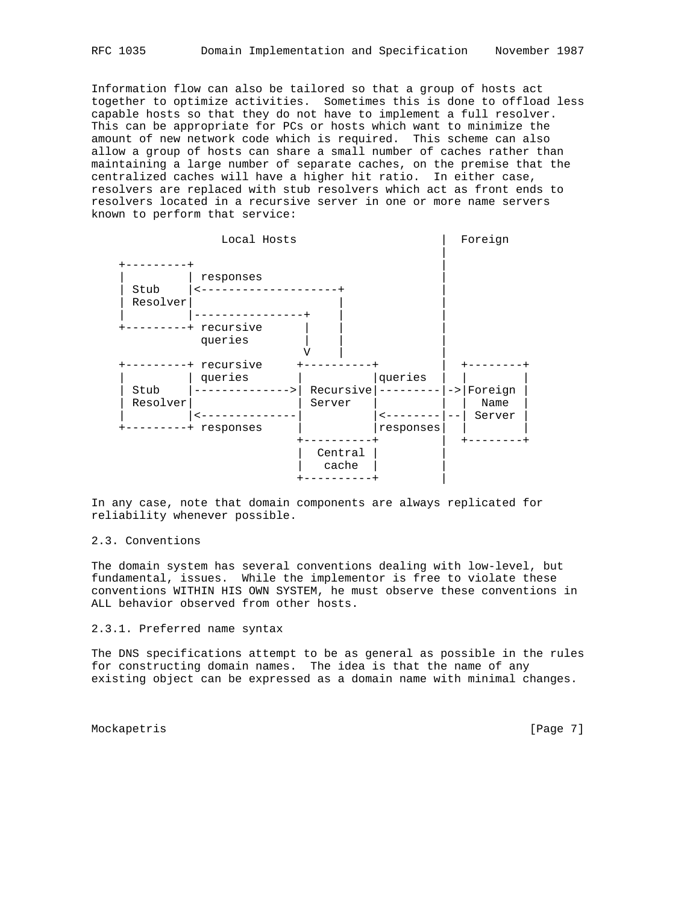Information flow can also be tailored so that a group of hosts act together to optimize activities. Sometimes this is done to offload less capable hosts so that they do not have to implement a full resolver. This can be appropriate for PCs or hosts which want to minimize the amount of new network code which is required. This scheme can also allow a group of hosts can share a small number of caches rather than maintaining a large number of separate caches, on the premise that the centralized caches will have a higher hit ratio. In either case, resolvers are replaced with stub resolvers which act as front ends to resolvers located in a recursive server in one or more name servers known to perform that service:



In any case, note that domain components are always replicated for reliability whenever possible.

## 2.3. Conventions

The domain system has several conventions dealing with low-level, but fundamental, issues. While the implementor is free to violate these conventions WITHIN HIS OWN SYSTEM, he must observe these conventions in ALL behavior observed from other hosts.

#### 2.3.1. Preferred name syntax

The DNS specifications attempt to be as general as possible in the rules for constructing domain names. The idea is that the name of any existing object can be expressed as a domain name with minimal changes.

Mockapetris [Page 7]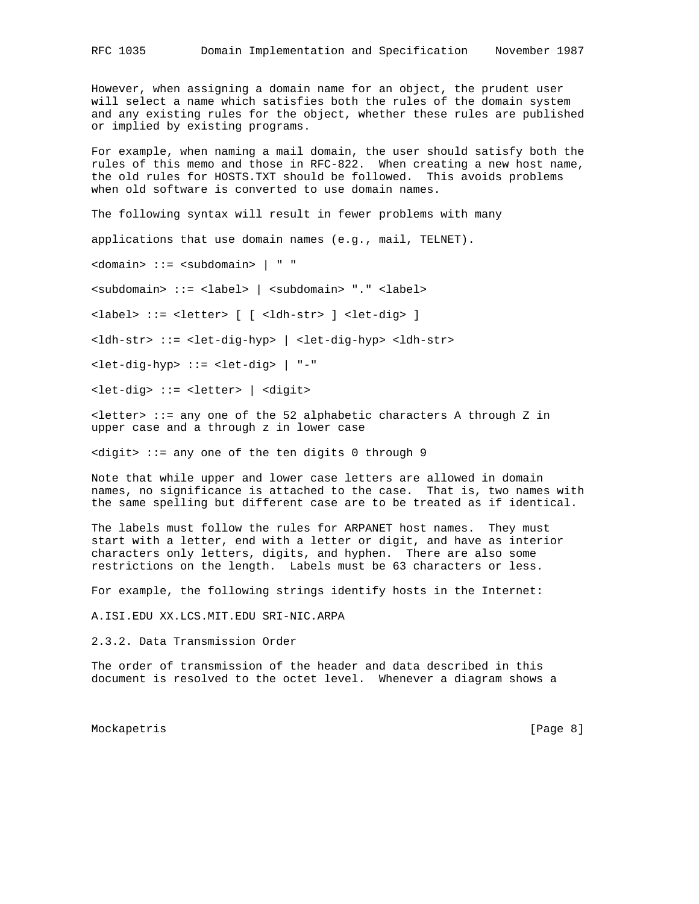However, when assigning a domain name for an object, the prudent user will select a name which satisfies both the rules of the domain system and any existing rules for the object, whether these rules are published or implied by existing programs.

For example, when naming a mail domain, the user should satisfy both the rules of this memo and those in RFC-822. When creating a new host name, the old rules for HOSTS.TXT should be followed. This avoids problems when old software is converted to use domain names.

The following syntax will result in fewer problems with many

applications that use domain names (e.g., mail, TELNET).

<domain> ::= <subdomain> | " "

<subdomain> ::= <label> | <subdomain> "." <label>

<label> ::= <letter> [ [ <ldh-str> ] <let-dig> ]

<ldh-str> ::= <let-dig-hyp> | <let-dig-hyp> <ldh-str>

<let-dig-hyp> ::= <let-dig> | "-"

<let-dig> ::= <letter> | <digit>

 $\text{c}$  =  $\text{c}$   $\text{c}$  :  $\text{c}$  = any one of the 52 alphabetic characters A through Z in upper case and a through z in lower case

 $\langle$ digit> ::= any one of the ten digits 0 through 9

Note that while upper and lower case letters are allowed in domain names, no significance is attached to the case. That is, two names with the same spelling but different case are to be treated as if identical.

The labels must follow the rules for ARPANET host names. They must start with a letter, end with a letter or digit, and have as interior characters only letters, digits, and hyphen. There are also some restrictions on the length. Labels must be 63 characters or less.

For example, the following strings identify hosts in the Internet:

A.ISI.EDU XX.LCS.MIT.EDU SRI-NIC.ARPA

2.3.2. Data Transmission Order

The order of transmission of the header and data described in this document is resolved to the octet level. Whenever a diagram shows a

Mockapetris [Page 8]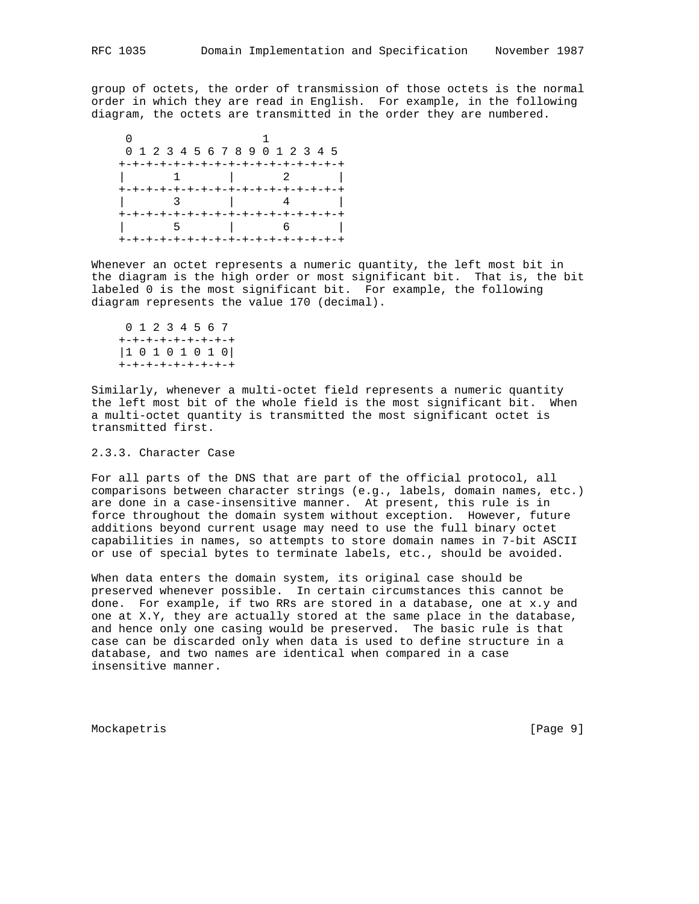group of octets, the order of transmission of those octets is the normal order in which they are read in English. For example, in the following diagram, the octets are transmitted in the order they are numbered.

 0 1 0 1 2 3 4 5 6 7 8 9 0 1 2 3 4 5 +-+-+-+-+-+-+-+-+-+-+-+-+-+-+-+-+ | 1 | 2 | +-+-+-+-+-+-+-+-+-+-+-+-+-+-+-+-+ | 3 | 4 | +-+-+-+-+-+-+-+-+-+-+-+-+-+-+-+-+ | 5 | 6 | +-+-+-+-+-+-+-+-+-+-+-+-+-+-+-+-+

Whenever an octet represents a numeric quantity, the left most bit in the diagram is the high order or most significant bit. That is, the bit labeled 0 is the most significant bit. For example, the following diagram represents the value 170 (decimal).

 0 1 2 3 4 5 6 7 +-+-+-+-+-+-+-+-+ |1 0 1 0 1 0 1 0| +-+-+-+-+-+-+-+-+

Similarly, whenever a multi-octet field represents a numeric quantity the left most bit of the whole field is the most significant bit. When a multi-octet quantity is transmitted the most significant octet is transmitted first.

## 2.3.3. Character Case

For all parts of the DNS that are part of the official protocol, all comparisons between character strings (e.g., labels, domain names, etc.) are done in a case-insensitive manner. At present, this rule is in force throughout the domain system without exception. However, future additions beyond current usage may need to use the full binary octet capabilities in names, so attempts to store domain names in 7-bit ASCII or use of special bytes to terminate labels, etc., should be avoided.

When data enters the domain system, its original case should be preserved whenever possible. In certain circumstances this cannot be done. For example, if two RRs are stored in a database, one at x.y and one at X.Y, they are actually stored at the same place in the database, and hence only one casing would be preserved. The basic rule is that case can be discarded only when data is used to define structure in a database, and two names are identical when compared in a case insensitive manner.

Mockapetris [Page 9]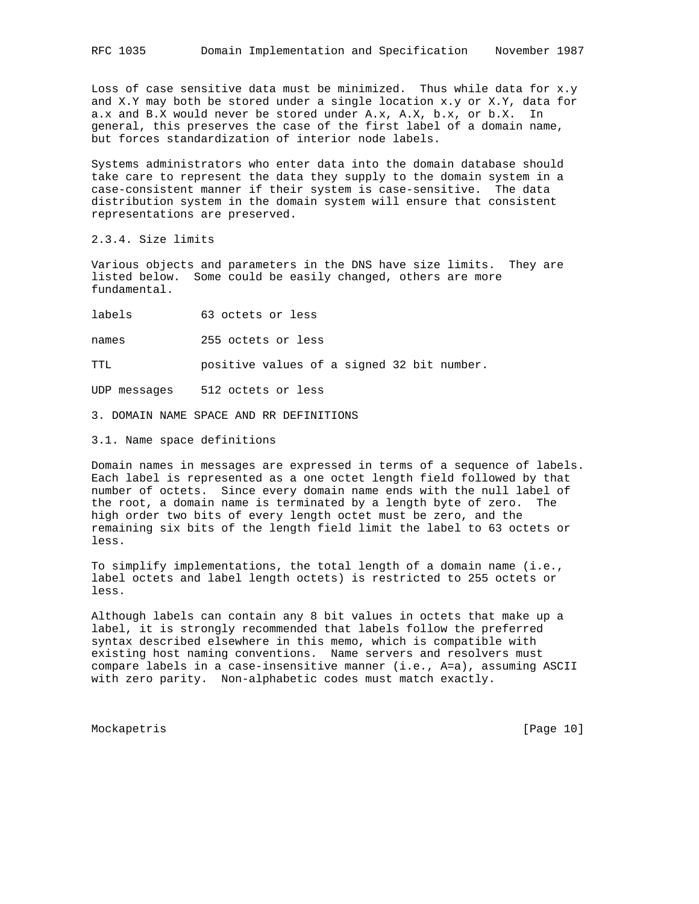Loss of case sensitive data must be minimized. Thus while data for  $x.y$ and X.Y may both be stored under a single location x.y or X.Y, data for a.x and B.X would never be stored under A.x, A.X, b.x, or b.X. In general, this preserves the case of the first label of a domain name, but forces standardization of interior node labels.

Systems administrators who enter data into the domain database should take care to represent the data they supply to the domain system in a case-consistent manner if their system is case-sensitive. The data distribution system in the domain system will ensure that consistent representations are preserved.

2.3.4. Size limits

Various objects and parameters in the DNS have size limits. They are listed below. Some could be easily changed, others are more fundamental.

labels 63 octets or less

names 255 octets or less

TTL positive values of a signed 32 bit number.

UDP messages 512 octets or less

3. DOMAIN NAME SPACE AND RR DEFINITIONS

3.1. Name space definitions

Domain names in messages are expressed in terms of a sequence of labels. Each label is represented as a one octet length field followed by that number of octets. Since every domain name ends with the null label of the root, a domain name is terminated by a length byte of zero. The high order two bits of every length octet must be zero, and the remaining six bits of the length field limit the label to 63 octets or less.

To simplify implementations, the total length of a domain name (i.e., label octets and label length octets) is restricted to 255 octets or less.

Although labels can contain any 8 bit values in octets that make up a label, it is strongly recommended that labels follow the preferred syntax described elsewhere in this memo, which is compatible with existing host naming conventions. Name servers and resolvers must compare labels in a case-insensitive manner (i.e., A=a), assuming ASCII with zero parity. Non-alphabetic codes must match exactly.

Mockapetris [Page 10]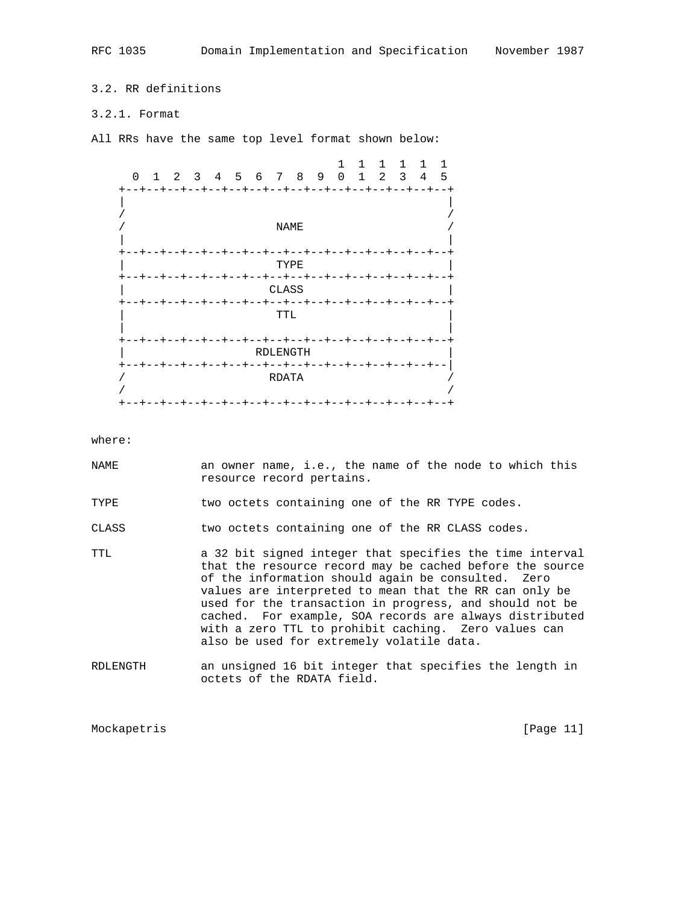## 3.2. RR definitions

3.2.1. Format

All RRs have the same top level format shown below:

 1 1 1 1 1 1 0 1 2 3 4 5 6 7 8 9 0 1 2 3 4 5 +--+--+--+--+--+--+--+--+--+--+--+--+--+--+--+--+ | | / /  $/$   $NAME$   $/$  | | +--+--+--+--+--+--+--+--+--+--+--+--+--+--+--+--+  $|\hspace{.1cm} \text{Type}|\hspace{.1cm} |\hspace{.1cm} |\hspace{.1cm} |\hspace{.1cm} |\hspace{.1cm} |\hspace{.1cm} |\hspace{.1cm} |\hspace{.1cm} |\hspace{.1cm} |\hspace{.1cm} |\hspace{.1cm} |\hspace{.1cm} |\hspace{.1cm} |\hspace{.1cm} |\hspace{.1cm} |\hspace{.1cm} |\hspace{.1cm} |\hspace{.1cm} |\hspace{.1cm} |\hspace{.1cm} |\hspace{.1cm} |\hspace{.1cm} |\hspace{.1cm} |\hspace{.1cm} |\hspace{.1cm} |\hspace{.1cm$  +--+--+--+--+--+--+--+--+--+--+--+--+--+--+--+--+ | CLASS | +--+--+--+--+--+--+--+--+--+--+--+--+--+--+--+--+ | TTL | | | +--+--+--+--+--+--+--+--+--+--+--+--+--+--+--+--+ | RDLENGTH | +--+--+--+--+--+--+--+--+--+--+--+--+--+--+--+--|  $R$ DATA / / +--+--+--+--+--+--+--+--+--+--+--+--+--+--+--+--+

where:

| NAME |  |                           |  |  |  | an owner name, i.e., the name of the node to which this |  |
|------|--|---------------------------|--|--|--|---------------------------------------------------------|--|
|      |  | resource record pertains. |  |  |  |                                                         |  |

TYPE two octets containing one of the RR TYPE codes.

CLASS two octets containing one of the RR CLASS codes.

- TTL a 32 bit signed integer that specifies the time interval that the resource record may be cached before the source of the information should again be consulted. Zero values are interpreted to mean that the RR can only be used for the transaction in progress, and should not be cached. For example, SOA records are always distributed with a zero TTL to prohibit caching. Zero values can also be used for extremely volatile data.
- RDLENGTH an unsigned 16 bit integer that specifies the length in octets of the RDATA field.

Mockapetris [Page 11]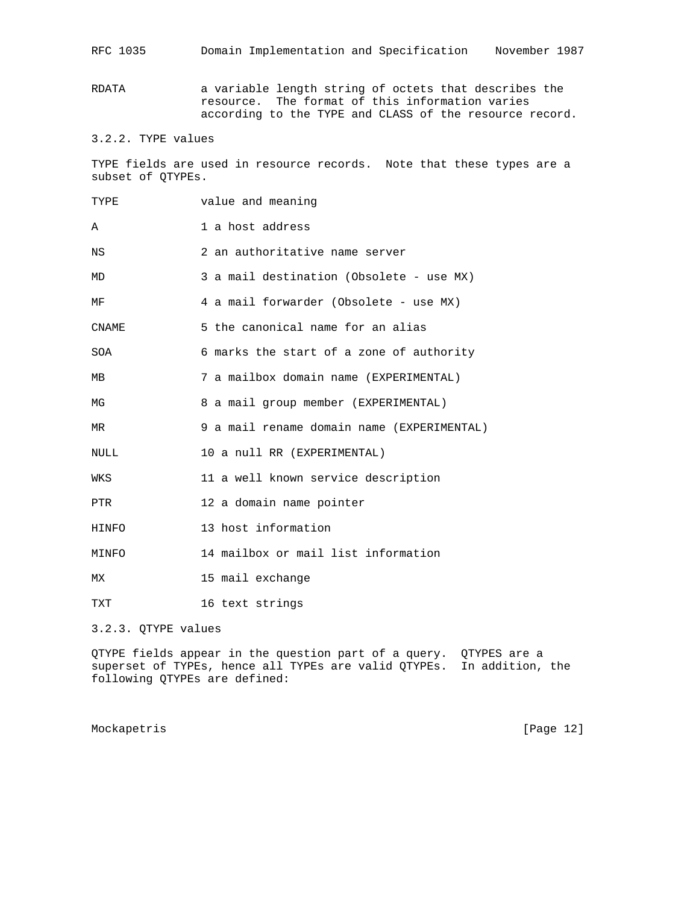RDATA a variable length string of octets that describes the resource. The format of this information varies according to the TYPE and CLASS of the resource record.

3.2.2. TYPE values

TYPE fields are used in resource records. Note that these types are a subset of QTYPEs.

| TYPE         | value and meaning                          |
|--------------|--------------------------------------------|
| Α            | 1 a host address                           |
| $_{\rm NS}$  | 2 an authoritative name server             |
| MD           | 3 a mail destination (Obsolete - use MX)   |
| ΜF           | 4 a mail forwarder (Obsolete - use MX)     |
| <b>CNAME</b> | 5 the canonical name for an alias          |
| SOA          | 6 marks the start of a zone of authority   |
| MВ           | 7 a mailbox domain name (EXPERIMENTAL)     |
| ΜG           | 8 a mail group member (EXPERIMENTAL)       |
| MR           | 9 a mail rename domain name (EXPERIMENTAL) |
| <b>NULL</b>  | 10 a null RR (EXPERIMENTAL)                |
| WKS          | 11 a well known service description        |
| PTR          | 12 a domain name pointer                   |
| HINFO        | 13 host information                        |
| MINFO        | 14 mailbox or mail list information        |
| МX           | 15 mail exchange                           |
| TXT          | 16 text strings                            |

3.2.3. QTYPE values

QTYPE fields appear in the question part of a query. QTYPES are a superset of TYPEs, hence all TYPEs are valid QTYPEs. In addition, the following QTYPEs are defined:

Mockapetris [Page 12]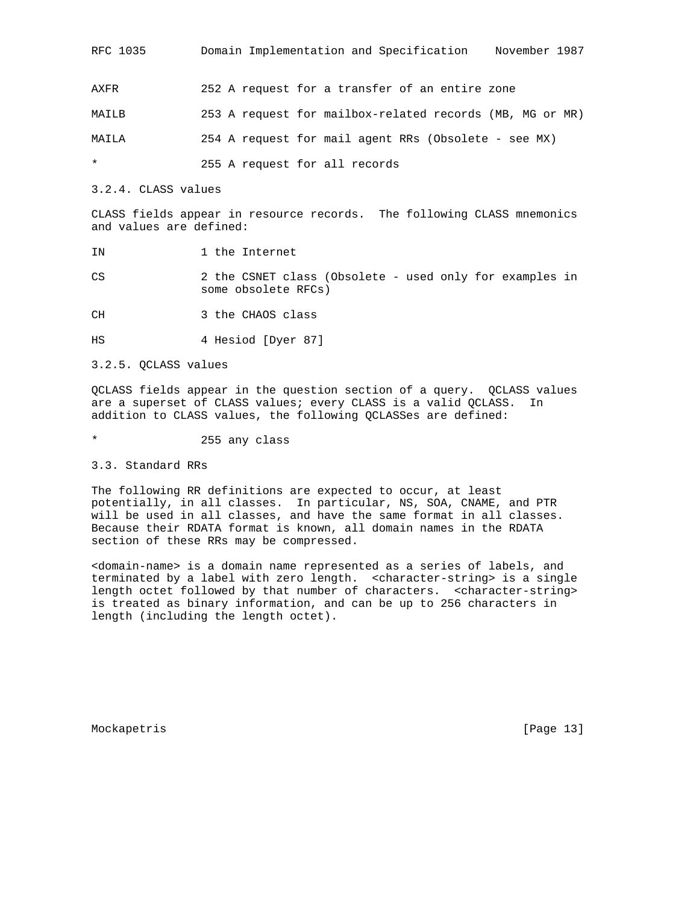AXFR 252 A request for a transfer of an entire zone

MAILB 253 A request for mailbox-related records (MB, MG or MR)

MAILA 254 A request for mail agent RRs (Obsolete - see MX)

255 A request for all records

3.2.4. CLASS values

CLASS fields appear in resource records. The following CLASS mnemonics and values are defined:

IN 1 the Internet

CS 2 the CSNET class (Obsolete - used only for examples in some obsolete RFCs)

CH 3 the CHAOS class

HS 4 Hesiod [Dyer 87]

3.2.5. QCLASS values

QCLASS fields appear in the question section of a query. QCLASS values are a superset of CLASS values; every CLASS is a valid QCLASS. In addition to CLASS values, the following QCLASSes are defined:

\* 255 any class

#### 3.3. Standard RRs

The following RR definitions are expected to occur, at least potentially, in all classes. In particular, NS, SOA, CNAME, and PTR will be used in all classes, and have the same format in all classes. Because their RDATA format is known, all domain names in the RDATA section of these RRs may be compressed.

<domain-name> is a domain name represented as a series of labels, and terminated by a label with zero length. <character-string> is a single length octet followed by that number of characters. < character-string> is treated as binary information, and can be up to 256 characters in length (including the length octet).

Mockapetris [Page 13]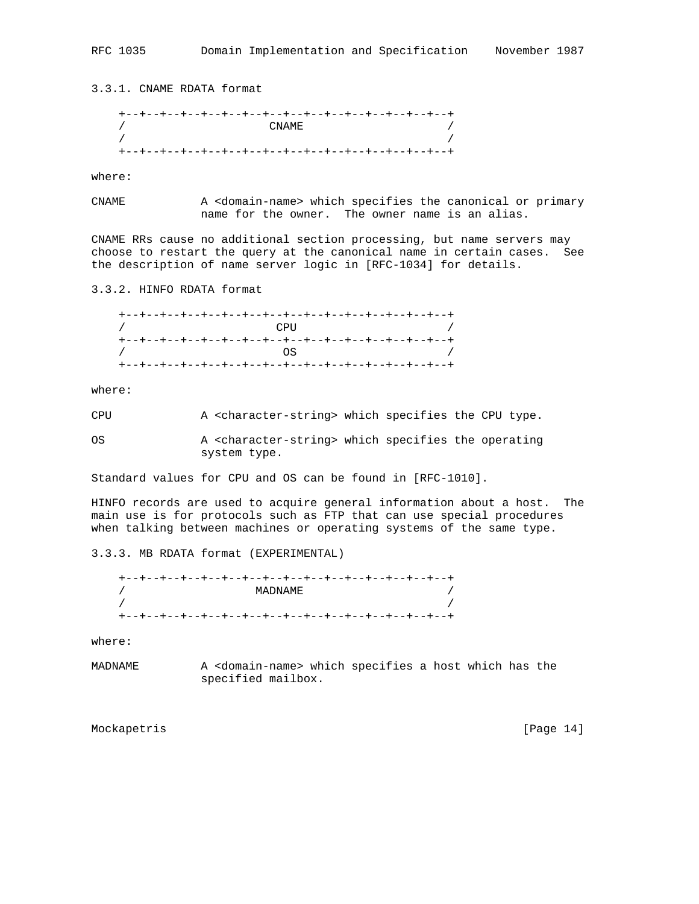3.3.1. CNAME RDATA format

|  | CNAME. |  |
|--|--------|--|
|  |        |  |
|  |        |  |

where:

CNAME A <domain-name> which specifies the canonical or primary name for the owner. The owner name is an alias.

CNAME RRs cause no additional section processing, but name servers may choose to restart the query at the canonical name in certain cases. See the description of name server logic in [RFC-1034] for details.

3.3.2. HINFO RDATA format

| CPII     |  |
|----------|--|
|          |  |
| $^{(1)}$ |  |
|          |  |

where:

CPU A <character-string> which specifies the CPU type.

OS A <character-string> which specifies the operating system type.

Standard values for CPU and OS can be found in [RFC-1010].

HINFO records are used to acquire general information about a host. The main use is for protocols such as FTP that can use special procedures when talking between machines or operating systems of the same type.

3.3.3. MB RDATA format (EXPERIMENTAL)

| MADNAME. |  |
|----------|--|
|          |  |

where:

MADNAME A <domain-name> which specifies a host which has the specified mailbox.

Mockapetris [Page 14]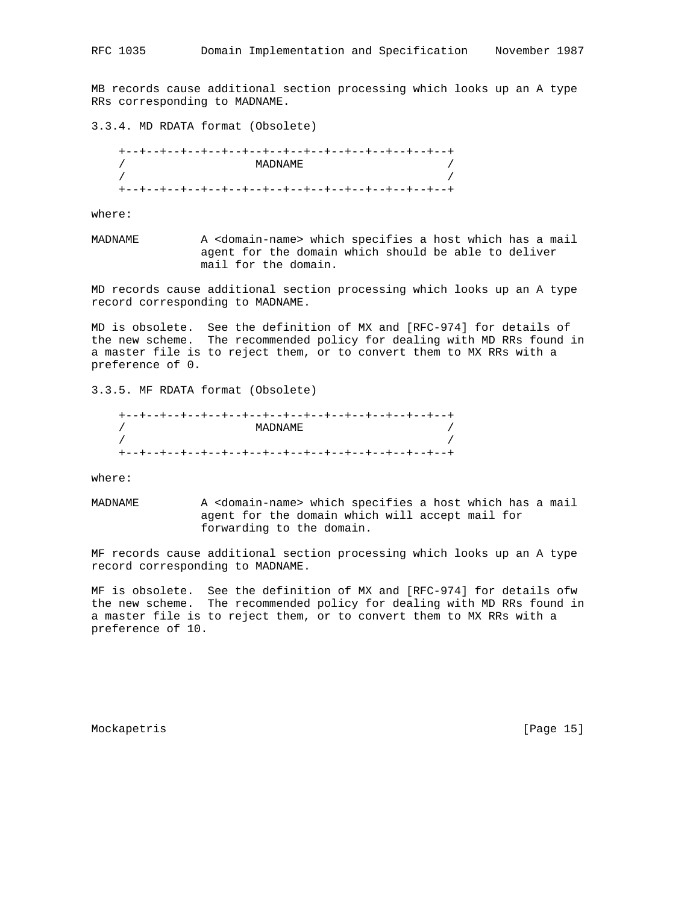MB records cause additional section processing which looks up an A type RRs corresponding to MADNAME.

3.3.4. MD RDATA format (Obsolete)

| MADNAME. |  |
|----------|--|
|          |  |
|          |  |

where:

MADNAME A <domain-name> which specifies a host which has a mail agent for the domain which should be able to deliver mail for the domain.

MD records cause additional section processing which looks up an A type record corresponding to MADNAME.

MD is obsolete. See the definition of MX and [RFC-974] for details of the new scheme. The recommended policy for dealing with MD RRs found in a master file is to reject them, or to convert them to MX RRs with a preference of 0.

3.3.5. MF RDATA format (Obsolete)

|  | MADNAME. |  |
|--|----------|--|
|  |          |  |
|  |          |  |

where:

MADNAME A <domain-name> which specifies a host which has a mail agent for the domain which will accept mail for forwarding to the domain.

MF records cause additional section processing which looks up an A type record corresponding to MADNAME.

MF is obsolete. See the definition of MX and [RFC-974] for details ofw the new scheme. The recommended policy for dealing with MD RRs found in a master file is to reject them, or to convert them to MX RRs with a preference of 10.

Mockapetris [Page 15]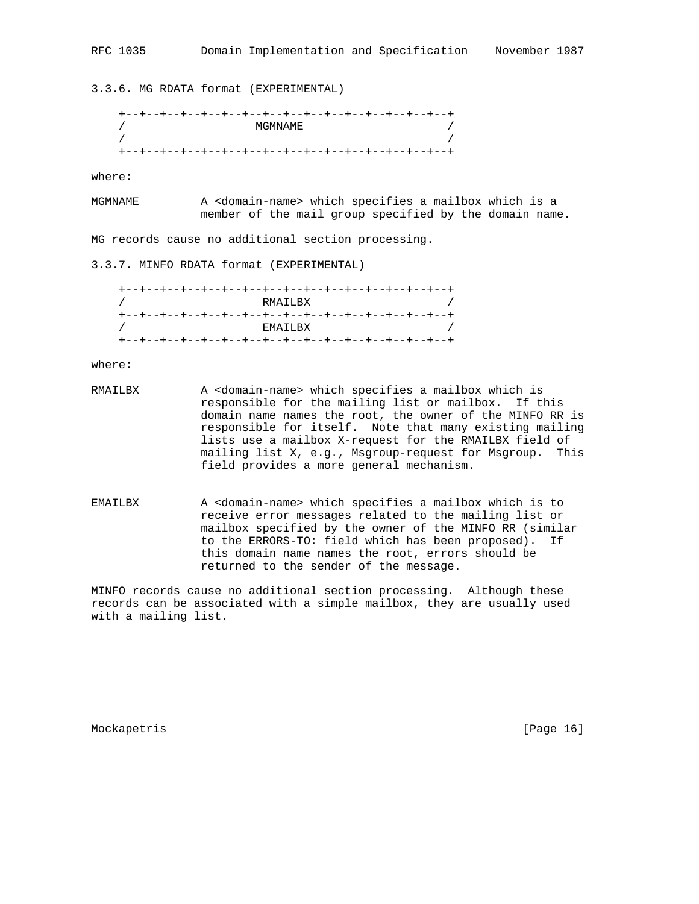3.3.6. MG RDATA format (EXPERIMENTAL)



where:

MGMNAME A <domain-name> which specifies a mailbox which is a member of the mail group specified by the domain name.

MG records cause no additional section processing.

3.3.7. MINFO RDATA format (EXPERIMENTAL)

| RMATLBX   |  |
|-----------|--|
|           |  |
| F.MATI.BX |  |
|           |  |

where:

- RMAILBX A <domain-name> which specifies a mailbox which is responsible for the mailing list or mailbox. If this domain name names the root, the owner of the MINFO RR is responsible for itself. Note that many existing mailing lists use a mailbox X-request for the RMAILBX field of mailing list X, e.g., Msgroup-request for Msgroup. This field provides a more general mechanism.
- EMAILBX A <domain-name> which specifies a mailbox which is to receive error messages related to the mailing list or mailbox specified by the owner of the MINFO RR (similar to the ERRORS-TO: field which has been proposed). If this domain name names the root, errors should be returned to the sender of the message.

MINFO records cause no additional section processing. Although these records can be associated with a simple mailbox, they are usually used with a mailing list.

Mockapetris [Page 16]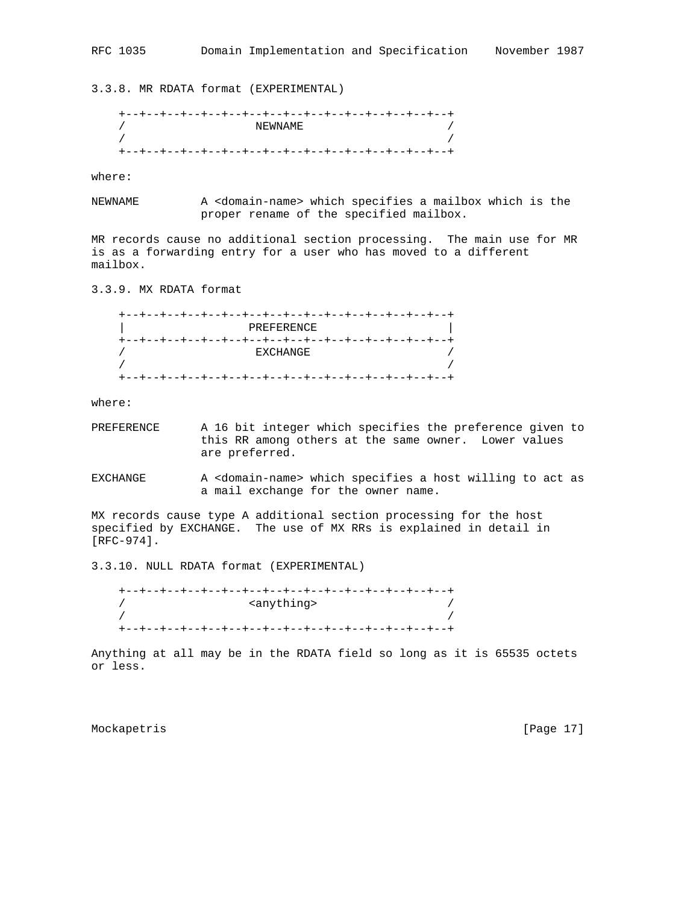3.3.8. MR RDATA format (EXPERIMENTAL)

|  | NEWNAME. |  |
|--|----------|--|
|  |          |  |
|  |          |  |

where:

NEWNAME A <domain-name> which specifies a mailbox which is the proper rename of the specified mailbox.

MR records cause no additional section processing. The main use for MR is as a forwarding entry for a user who has moved to a different mailbox.

3.3.9. MX RDATA format

| PREFERENCE |
|------------|
|            |
| EXCHANGE   |
|            |
|            |

#### where:

- PREFERENCE A 16 bit integer which specifies the preference given to this RR among others at the same owner. Lower values are preferred.
- EXCHANGE A <domain-name> which specifies a host willing to act as a mail exchange for the owner name.

MX records cause type A additional section processing for the host specified by EXCHANGE. The use of MX RRs is explained in detail in [RFC-974].

3.3.10. NULL RDATA format (EXPERIMENTAL)

 +--+--+--+--+--+--+--+--+--+--+--+--+--+--+--+--+  $/$   $\langle$  anything>  $/$  / / +--+--+--+--+--+--+--+--+--+--+--+--+--+--+--+--+

Anything at all may be in the RDATA field so long as it is 65535 octets or less.

Mockapetris [Page 17]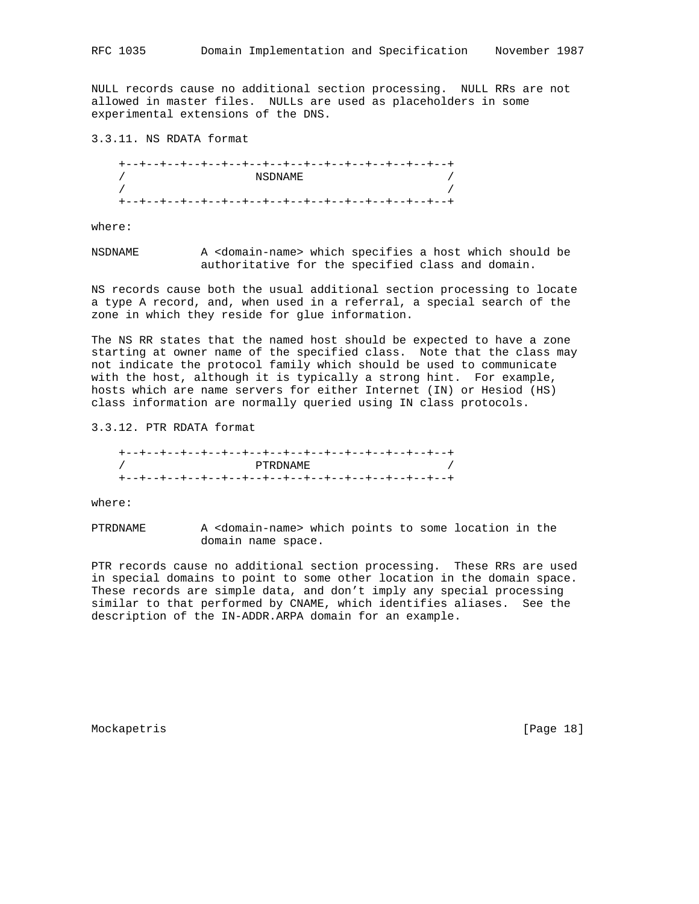NULL records cause no additional section processing. NULL RRs are not allowed in master files. NULLs are used as placeholders in some experimental extensions of the DNS.

3.3.11. NS RDATA format

|  | NSDNAME |  |
|--|---------|--|
|  |         |  |
|  |         |  |

where:

NSDNAME A <domain-name> which specifies a host which should be authoritative for the specified class and domain.

NS records cause both the usual additional section processing to locate a type A record, and, when used in a referral, a special search of the zone in which they reside for glue information.

The NS RR states that the named host should be expected to have a zone starting at owner name of the specified class. Note that the class may not indicate the protocol family which should be used to communicate with the host, although it is typically a strong hint. For example, hosts which are name servers for either Internet (IN) or Hesiod (HS) class information are normally queried using IN class protocols.

3.3.12. PTR RDATA format

|  | PTRDNAME |  |
|--|----------|--|
|  |          |  |

where:

PTRDNAME A <domain-name> which points to some location in the domain name space.

PTR records cause no additional section processing. These RRs are used in special domains to point to some other location in the domain space. These records are simple data, and don't imply any special processing similar to that performed by CNAME, which identifies aliases. See the description of the IN-ADDR.ARPA domain for an example.

Mockapetris [Page 18]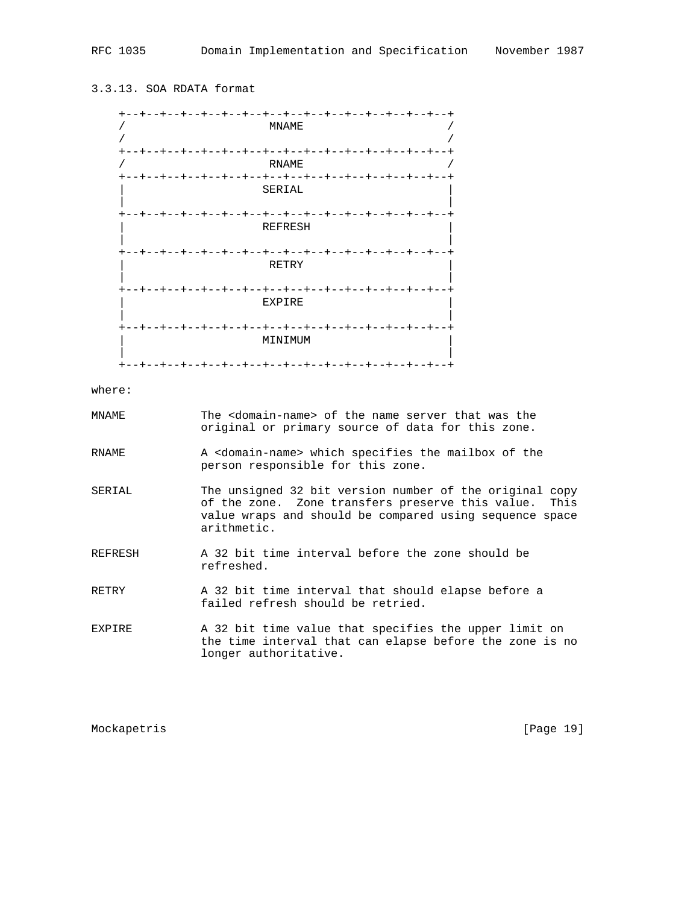# 3.3.13. SOA RDATA format

|                                       | <b>MNAME</b>                                                                      |                   |
|---------------------------------------|-----------------------------------------------------------------------------------|-------------------|
| --+--+--+<br>$+$ -<br>$+ - - + - - +$ | +--+--+--+--+--<br>$+ - - + - - +$<br>RNAME<br>--+--+--+--+--+<br>-+--+<br>SERIAL | $- + - - + - - +$ |
| +--+--+--+-                           | --+--+--+--+-<br>$-+--+$<br>REFRESH                                               | $- + - - + - -$   |
| $^+$                                  | RETRY                                                                             |                   |
| $+ - - + - - +$                       | --+<br>--+<br>EXPIRE                                                              |                   |
| $\pm$                                 | --+<br>--+--+--+<br>MINIMUM                                                       | -+-               |
| $+ - - +$                             |                                                                                   |                   |

where:

| MNAME         | The <domain-name> of the name server that was the<br/>original or primary source of data for this zone.</domain-name>                                                                      |
|---------------|--------------------------------------------------------------------------------------------------------------------------------------------------------------------------------------------|
| RNAME         | A <domain-name> which specifies the mailbox of the<br/>person responsible for this zone.</domain-name>                                                                                     |
| SERIAL        | The unsigned 32 bit version number of the original copy<br>of the zone. Zone transfers preserve this value. This<br>value wraps and should be compared using sequence space<br>arithmetic. |
| REFRESH       | A 32 bit time interval before the zone should be<br>refreshed.                                                                                                                             |
| RETRY         | A 32 bit time interval that should elapse before a<br>failed refresh should be retried.                                                                                                    |
| <b>FXPTRF</b> | A 32 bit time value that specifies the upper limit on<br>the time interval that can elapse before the zone is no<br>longer authoritative.                                                  |

Mockapetris [Page 19]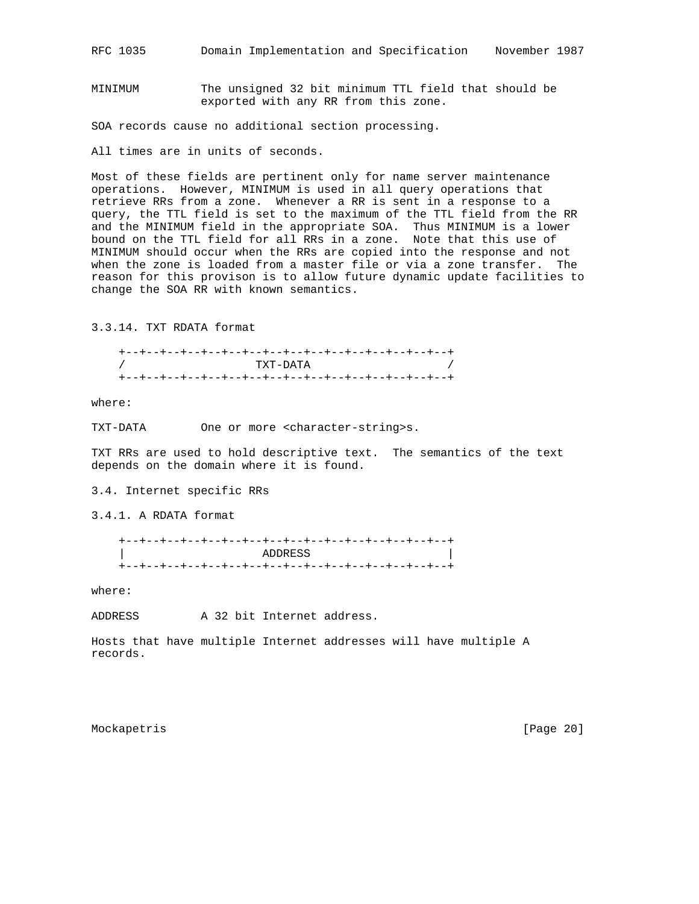MINIMUM The unsigned 32 bit minimum TTL field that should be exported with any RR from this zone.

SOA records cause no additional section processing.

All times are in units of seconds.

Most of these fields are pertinent only for name server maintenance operations. However, MINIMUM is used in all query operations that retrieve RRs from a zone. Whenever a RR is sent in a response to a query, the TTL field is set to the maximum of the TTL field from the RR and the MINIMUM field in the appropriate SOA. Thus MINIMUM is a lower bound on the TTL field for all RRs in a zone. Note that this use of MINIMUM should occur when the RRs are copied into the response and not when the zone is loaded from a master file or via a zone transfer. The reason for this provison is to allow future dynamic update facilities to change the SOA RR with known semantics.

3.3.14. TXT RDATA format

| TXT-DATA |
|----------|
|          |

where:

TXT-DATA One or more <character-string>s.

TXT RRs are used to hold descriptive text. The semantics of the text depends on the domain where it is found.

3.4. Internet specific RRs

3.4.1. A RDATA format

| ADDRESS |
|---------|
|         |

where:

ADDRESS A 32 bit Internet address.

Hosts that have multiple Internet addresses will have multiple A records.

Mockapetris [Page 20]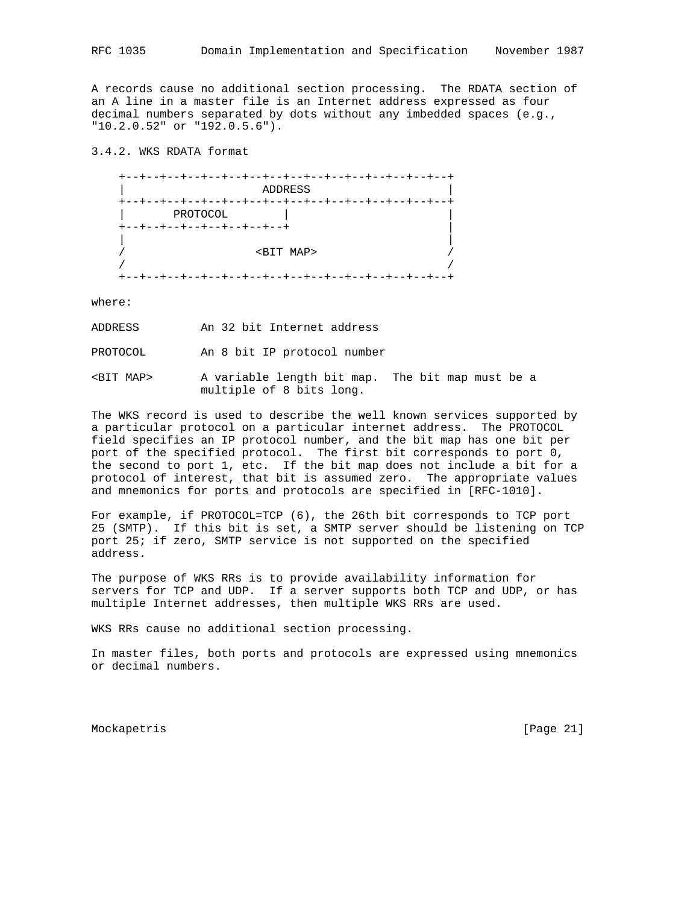A records cause no additional section processing. The RDATA section of an A line in a master file is an Internet address expressed as four decimal numbers separated by dots without any imbedded spaces (e.g., "10.2.0.52" or "192.0.5.6").

3.4.2. WKS RDATA format

 +--+--+--+--+--+--+--+--+--+--+--+--+--+--+--+--+ | ADDRESS | +--+--+--+--+--+--+--+--+--+--+--+--+--+--+--+--+ | PROTOCOL | | +--+--+--+--+--+--+--+--+ | | | / <BIT MAP> / / / +--+--+--+--+--+--+--+--+--+--+--+--+--+--+--+--+

where:

ADDRESS An 32 bit Internet address

PROTOCOL An 8 bit IP protocol number

<BIT MAP> A variable length bit map. The bit map must be a multiple of 8 bits long.

The WKS record is used to describe the well known services supported by a particular protocol on a particular internet address. The PROTOCOL field specifies an IP protocol number, and the bit map has one bit per port of the specified protocol. The first bit corresponds to port 0, the second to port 1, etc. If the bit map does not include a bit for a protocol of interest, that bit is assumed zero. The appropriate values and mnemonics for ports and protocols are specified in [RFC-1010].

For example, if PROTOCOL=TCP (6), the 26th bit corresponds to TCP port 25 (SMTP). If this bit is set, a SMTP server should be listening on TCP port 25; if zero, SMTP service is not supported on the specified address.

The purpose of WKS RRs is to provide availability information for servers for TCP and UDP. If a server supports both TCP and UDP, or has multiple Internet addresses, then multiple WKS RRs are used.

WKS RRs cause no additional section processing.

In master files, both ports and protocols are expressed using mnemonics or decimal numbers.

Mockapetris [Page 21]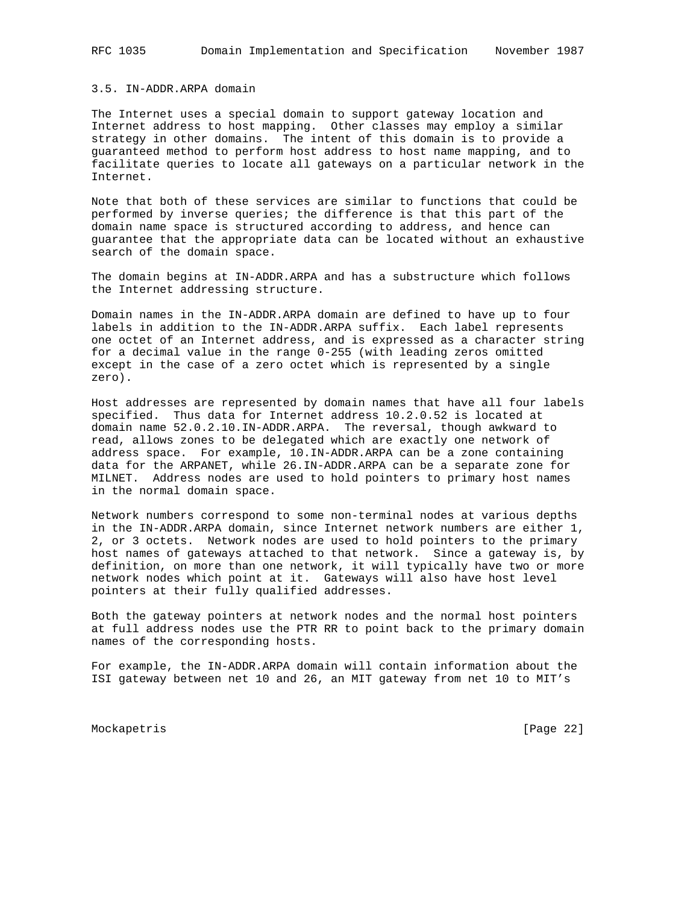#### 3.5. IN-ADDR.ARPA domain

The Internet uses a special domain to support gateway location and Internet address to host mapping. Other classes may employ a similar strategy in other domains. The intent of this domain is to provide a guaranteed method to perform host address to host name mapping, and to facilitate queries to locate all gateways on a particular network in the Internet.

Note that both of these services are similar to functions that could be performed by inverse queries; the difference is that this part of the domain name space is structured according to address, and hence can guarantee that the appropriate data can be located without an exhaustive search of the domain space.

The domain begins at IN-ADDR.ARPA and has a substructure which follows the Internet addressing structure.

Domain names in the IN-ADDR.ARPA domain are defined to have up to four labels in addition to the IN-ADDR.ARPA suffix. Each label represents one octet of an Internet address, and is expressed as a character string for a decimal value in the range 0-255 (with leading zeros omitted except in the case of a zero octet which is represented by a single zero).

Host addresses are represented by domain names that have all four labels specified. Thus data for Internet address 10.2.0.52 is located at domain name 52.0.2.10.IN-ADDR.ARPA. The reversal, though awkward to read, allows zones to be delegated which are exactly one network of address space. For example, 10.IN-ADDR.ARPA can be a zone containing data for the ARPANET, while 26.IN-ADDR.ARPA can be a separate zone for MILNET. Address nodes are used to hold pointers to primary host names in the normal domain space.

Network numbers correspond to some non-terminal nodes at various depths in the IN-ADDR.ARPA domain, since Internet network numbers are either 1, 2, or 3 octets. Network nodes are used to hold pointers to the primary host names of gateways attached to that network. Since a gateway is, by definition, on more than one network, it will typically have two or more network nodes which point at it. Gateways will also have host level pointers at their fully qualified addresses.

Both the gateway pointers at network nodes and the normal host pointers at full address nodes use the PTR RR to point back to the primary domain names of the corresponding hosts.

For example, the IN-ADDR.ARPA domain will contain information about the ISI gateway between net 10 and 26, an MIT gateway from net 10 to MIT's

Mockapetris [Page 22]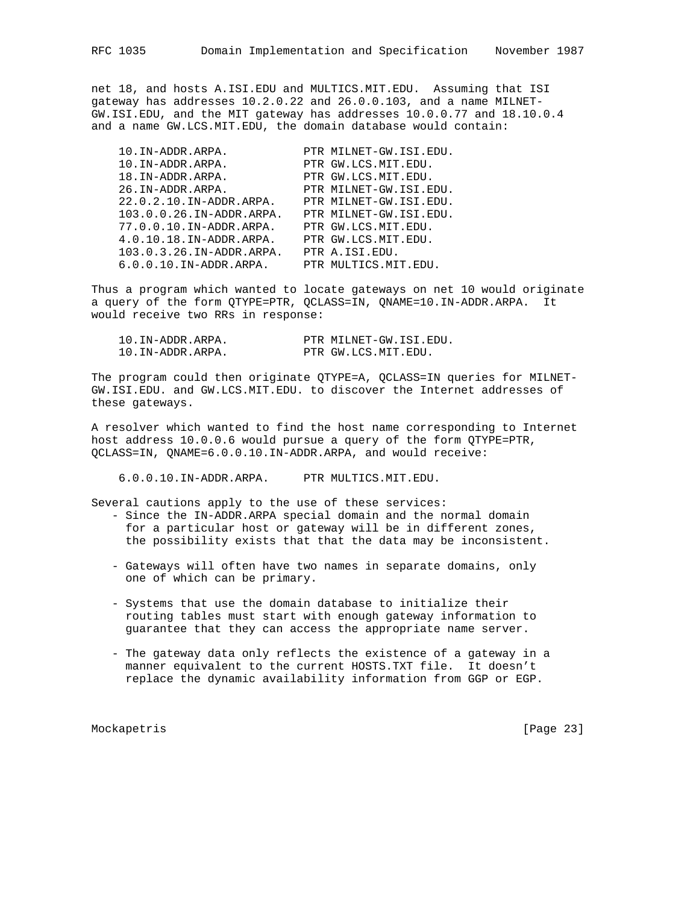net 18, and hosts A.ISI.EDU and MULTICS.MIT.EDU. Assuming that ISI gateway has addresses 10.2.0.22 and 26.0.0.103, and a name MILNET-GW.ISI.EDU, and the MIT gateway has addresses 10.0.0.77 and 18.10.0.4 and a name GW.LCS.MIT.EDU, the domain database would contain:

| 10.IN-ADDR.ARPA.           | PTR MILNET-GW.ISI.EDU. |
|----------------------------|------------------------|
| 10.IN-ADDR.ARPA.           | PTR GW.LCS.MIT.EDU.    |
| 18.IN-ADDR.ARPA.           | PTR GW.LCS.MIT.EDU.    |
| 26.IN-ADDR.ARPA.           | PTR MILNET-GW.ISI.EDU. |
| 22.0.2.10.IN-ADDR.ARPA.    | PTR MILNET-GW.ISI.EDU. |
| 103.0.0.26.IN-ADDR.ARPA.   | PTR MILNET-GW.ISI.EDU. |
| 77.0.0.10.IN-ADDR.ARPA.    | PTR GW.LCS.MIT.EDU.    |
| 4.0.10.18.IN-ADDR.ARPA.    | PTR GW.LCS.MIT.EDU.    |
| 103.0.3.26. IN-ADDR. ARPA. | PTR A.ISI.EDU.         |
| $6.0.0.10.$ IN-ADDR. ARPA. | PTR MULTICS.MIT.EDU.   |

Thus a program which wanted to locate gateways on net 10 would originate a query of the form QTYPE=PTR, QCLASS=IN, QNAME=10.IN-ADDR.ARPA. It would receive two RRs in response:

| 10.IN-ADDR.ARPA. | PTR MILNET-GW.ISI.EDU. |
|------------------|------------------------|
| 10.IN-ADDR.ARPA. | PTR GW.LCS.MIT.EDU.    |

The program could then originate QTYPE=A, QCLASS=IN queries for MILNET-GW.ISI.EDU. and GW.LCS.MIT.EDU. to discover the Internet addresses of these gateways.

A resolver which wanted to find the host name corresponding to Internet host address 10.0.0.6 would pursue a query of the form QTYPE=PTR, QCLASS=IN, QNAME=6.0.0.10.IN-ADDR.ARPA, and would receive:

6.0.0.10.IN-ADDR.ARPA. PTR MULTICS.MIT.EDU.

Several cautions apply to the use of these services:

- Since the IN-ADDR.ARPA special domain and the normal domain for a particular host or gateway will be in different zones, the possibility exists that that the data may be inconsistent.
- Gateways will often have two names in separate domains, only one of which can be primary.
- Systems that use the domain database to initialize their routing tables must start with enough gateway information to guarantee that they can access the appropriate name server.
- The gateway data only reflects the existence of a gateway in a manner equivalent to the current HOSTS.TXT file. It doesn't replace the dynamic availability information from GGP or EGP.

Mockapetris [Page 23]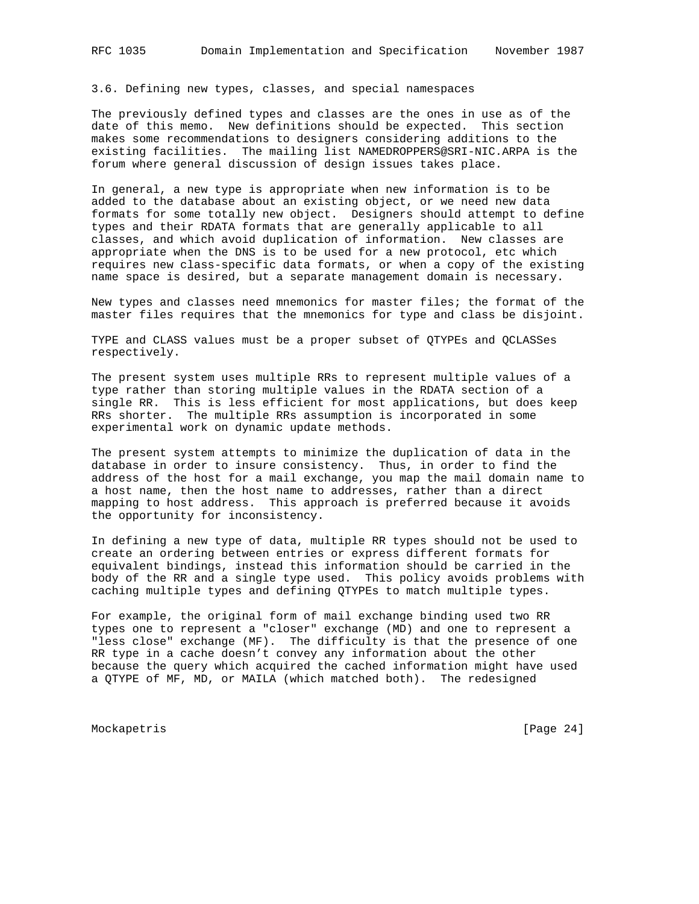## 3.6. Defining new types, classes, and special namespaces

The previously defined types and classes are the ones in use as of the date of this memo. New definitions should be expected. This section makes some recommendations to designers considering additions to the existing facilities. The mailing list NAMEDROPPERS@SRI-NIC.ARPA is the forum where general discussion of design issues takes place.

In general, a new type is appropriate when new information is to be added to the database about an existing object, or we need new data formats for some totally new object. Designers should attempt to define types and their RDATA formats that are generally applicable to all classes, and which avoid duplication of information. New classes are appropriate when the DNS is to be used for a new protocol, etc which requires new class-specific data formats, or when a copy of the existing name space is desired, but a separate management domain is necessary.

New types and classes need mnemonics for master files; the format of the master files requires that the mnemonics for type and class be disjoint.

TYPE and CLASS values must be a proper subset of QTYPEs and QCLASSes respectively.

The present system uses multiple RRs to represent multiple values of a type rather than storing multiple values in the RDATA section of a single RR. This is less efficient for most applications, but does keep RRs shorter. The multiple RRs assumption is incorporated in some experimental work on dynamic update methods.

The present system attempts to minimize the duplication of data in the database in order to insure consistency. Thus, in order to find the address of the host for a mail exchange, you map the mail domain name to a host name, then the host name to addresses, rather than a direct mapping to host address. This approach is preferred because it avoids the opportunity for inconsistency.

In defining a new type of data, multiple RR types should not be used to create an ordering between entries or express different formats for equivalent bindings, instead this information should be carried in the body of the RR and a single type used. This policy avoids problems with caching multiple types and defining QTYPEs to match multiple types.

For example, the original form of mail exchange binding used two RR types one to represent a "closer" exchange (MD) and one to represent a "less close" exchange (MF). The difficulty is that the presence of one RR type in a cache doesn't convey any information about the other because the query which acquired the cached information might have used a QTYPE of MF, MD, or MAILA (which matched both). The redesigned

Mockapetris [Page 24]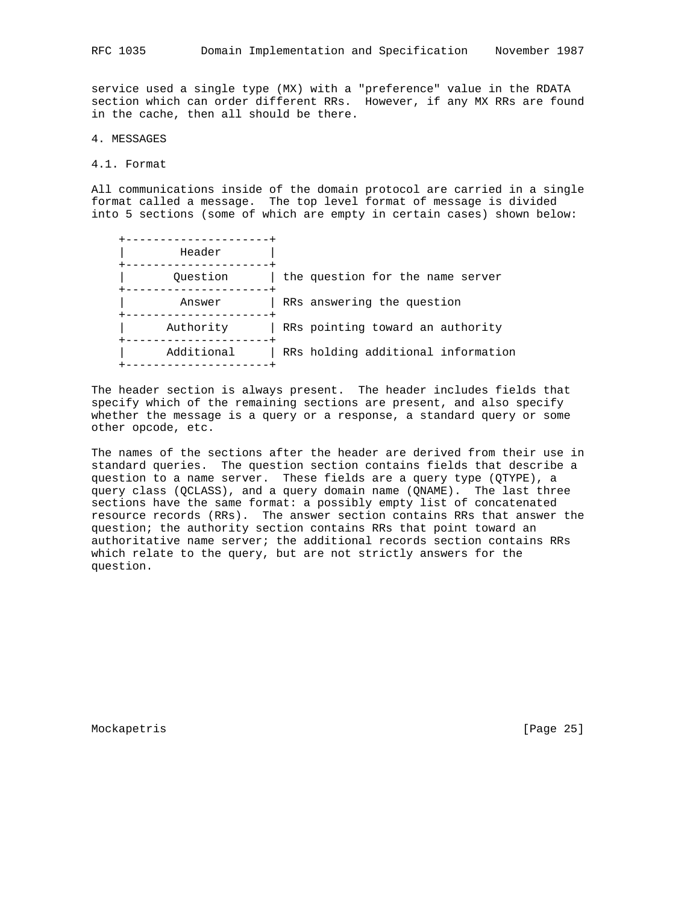service used a single type (MX) with a "preference" value in the RDATA section which can order different RRs. However, if any MX RRs are found in the cache, then all should be there.

- 4. MESSAGES
- 4.1. Format

All communications inside of the domain protocol are carried in a single format called a message. The top level format of message is divided into 5 sections (some of which are empty in certain cases) shown below:

| Header     |                                    |
|------------|------------------------------------|
| Ouestion   | the question for the name server   |
| Answer     | RRs answering the question         |
| Authority  | RRs pointing toward an authority   |
| Additional | RRs holding additional information |

The header section is always present. The header includes fields that specify which of the remaining sections are present, and also specify whether the message is a query or a response, a standard query or some other opcode, etc.

The names of the sections after the header are derived from their use in standard queries. The question section contains fields that describe a question to a name server. These fields are a query type (QTYPE), a query class (QCLASS), and a query domain name (QNAME). The last three sections have the same format: a possibly empty list of concatenated resource records (RRs). The answer section contains RRs that answer the question; the authority section contains RRs that point toward an authoritative name server; the additional records section contains RRs which relate to the query, but are not strictly answers for the question.

Mockapetris [Page 25]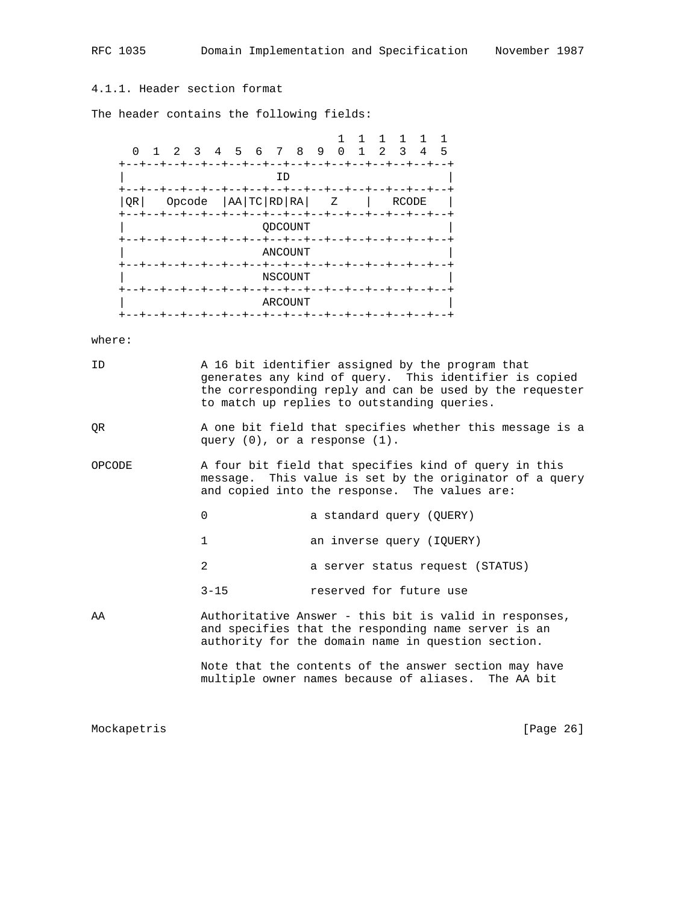## 4.1.1. Header section format

The header contains the following fields:

| $\left( \right)$ | $2 \quad 3$                 | 4<br>5. | - 6                               | 7 8 9 0 |  | $\overline{1}$ | $2 \quad 3$ | 4 | 5 |
|------------------|-----------------------------|---------|-----------------------------------|---------|--|----------------|-------------|---|---|
|                  |                             |         |                                   |         |  |                |             |   |   |
|                  |                             |         |                                   | ΙD      |  |                |             |   |   |
|                  |                             |         | -+--+--+--+--+--+--+-             |         |  |                |             |   |   |
| I QR             | Opcode $ AA TC RD RA$ Z $ $ |         |                                   |         |  |                | RCODE       |   |   |
|                  | +--+--+--+--+               |         | +--+--+--+--+--+--+--+--+--+--+-- |         |  |                |             |   |   |
|                  |                             |         |                                   | ODCOUNT |  |                |             |   |   |
|                  |                             |         | -+--+--+--+                       |         |  |                |             |   |   |
|                  |                             |         |                                   | ANCOUNT |  |                |             |   |   |
|                  |                             |         |                                   |         |  |                |             |   |   |
|                  |                             |         |                                   | NSCOUNT |  |                |             |   |   |
|                  |                             |         | -+--+--+--+                       |         |  |                |             |   |   |
|                  |                             |         |                                   | ARCOUNT |  |                |             |   |   |
|                  |                             |         |                                   |         |  |                |             |   |   |

where:

| ID     |                                                                                                                                                                   | A 16 bit identifier assigned by the program that<br>generates any kind of query. This identifier is copied<br>the corresponding reply and can be used by the requester<br>to match up replies to outstanding queries. |  |  |
|--------|-------------------------------------------------------------------------------------------------------------------------------------------------------------------|-----------------------------------------------------------------------------------------------------------------------------------------------------------------------------------------------------------------------|--|--|
| QR     | A one bit field that specifies whether this message is a<br>query $(0)$ , or a response $(1)$ .                                                                   |                                                                                                                                                                                                                       |  |  |
| OPCODE | A four bit field that specifies kind of query in this<br>message. This value is set by the originator of a query<br>and copied into the response. The values are: |                                                                                                                                                                                                                       |  |  |
|        | 0                                                                                                                                                                 | a standard query (QUERY)                                                                                                                                                                                              |  |  |
|        | $\mathbf{1}$                                                                                                                                                      | an inverse query (IOUERY)                                                                                                                                                                                             |  |  |
|        | $\mathfrak{D}$                                                                                                                                                    | a server status request (STATUS)                                                                                                                                                                                      |  |  |
|        | $3 - 15$                                                                                                                                                          | reserved for future use                                                                                                                                                                                               |  |  |
| AA     |                                                                                                                                                                   | Authoritative Answer - this bit is valid in responses,<br>and specifies that the responding name server is an<br>authority for the domain name in question section.                                                   |  |  |
|        |                                                                                                                                                                   | Note that the contents of the answer section may have<br>multiple owner names because of aliases. The AA bit                                                                                                          |  |  |

Mockapetris [Page 26]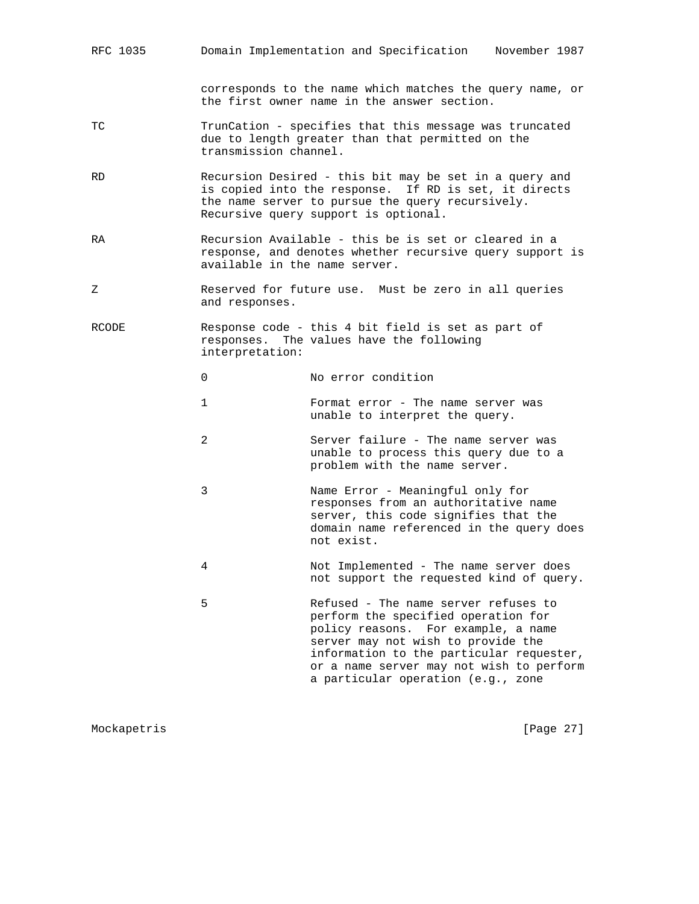corresponds to the name which matches the query name, or the first owner name in the answer section.

- TC TrunCation specifies that this message was truncated due to length greater than that permitted on the transmission channel.
- RD Recursion Desired this bit may be set in a query and is copied into the response. If RD is set, it directs the name server to pursue the query recursively. Recursive query support is optional.
- RA Recursion Available this be is set or cleared in a response, and denotes whether recursive query support is available in the name server.
- Z Reserved for future use. Must be zero in all queries and responses.
- RCODE Response code this 4 bit field is set as part of responses. The values have the following interpretation:
	- 0 No error condition
	- 1 Format error The name server was unable to interpret the query.
	- 2 Server failure The name server was unable to process this query due to a problem with the name server.
	- 3 Name Error Meaningful only for responses from an authoritative name server, this code signifies that the domain name referenced in the query does not exist.
	- 4 Not Implemented The name server does not support the requested kind of query.
	- 5 Refused The name server refuses to perform the specified operation for policy reasons. For example, a name server may not wish to provide the information to the particular requester, or a name server may not wish to perform a particular operation (e.g., zone

Mockapetris [Page 27]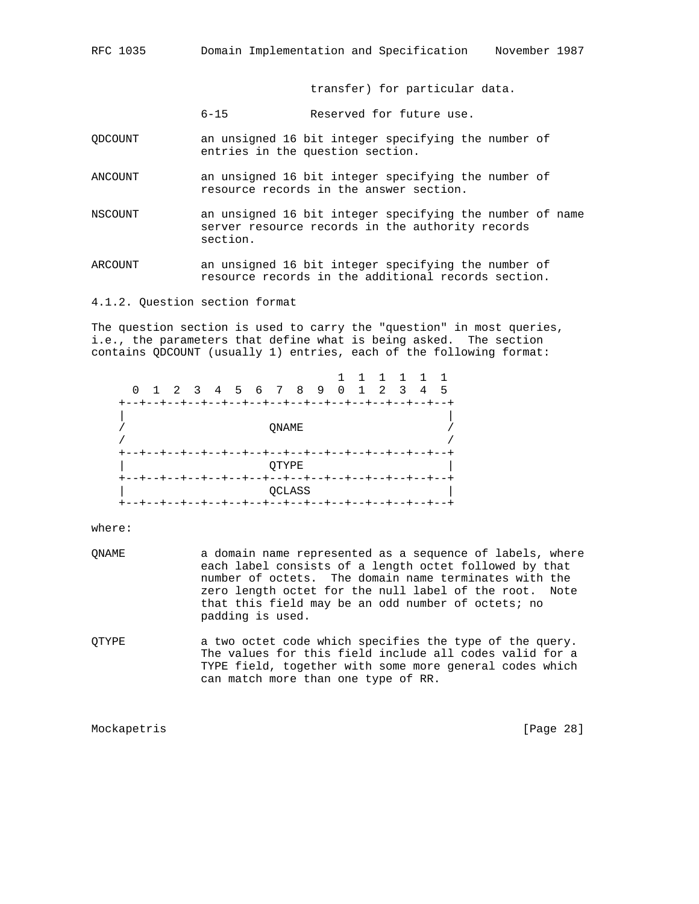transfer) for particular data.

6-15 Reserved for future use.

QDCOUNT an unsigned 16 bit integer specifying the number of entries in the question section.

ANCOUNT an unsigned 16 bit integer specifying the number of resource records in the answer section.

NSCOUNT an unsigned 16 bit integer specifying the number of name server resource records in the authority records section.

ARCOUNT an unsigned 16 bit integer specifying the number of resource records in the additional records section.

4.1.2. Question section format

The question section is used to carry the "question" in most queries, i.e., the parameters that define what is being asked. The section contains QDCOUNT (usually 1) entries, each of the following format:



where:

- QNAME a domain name represented as a sequence of labels, where each label consists of a length octet followed by that number of octets. The domain name terminates with the zero length octet for the null label of the root. Note that this field may be an odd number of octets; no padding is used.
- QTYPE a two octet code which specifies the type of the query. The values for this field include all codes valid for a TYPE field, together with some more general codes which can match more than one type of RR.

Mockapetris [Page 28]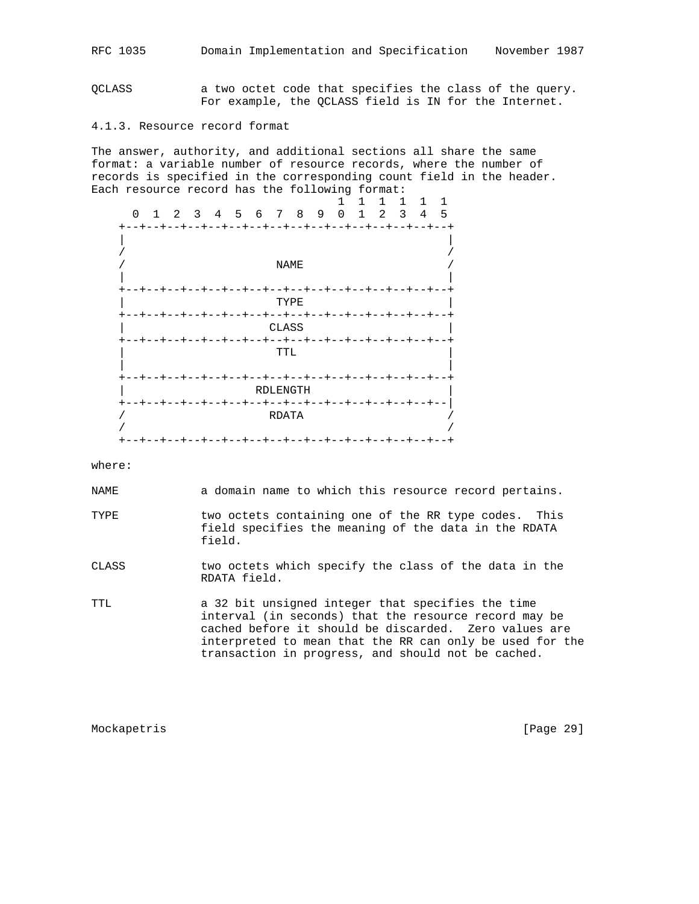QCLASS a two octet code that specifies the class of the query. For example, the QCLASS field is IN for the Internet.

## 4.1.3. Resource record format

The answer, authority, and additional sections all share the same format: a variable number of resource records, where the number of records is specified in the corresponding count field in the header. Each resource record has the following format:

|       |              |                 |   |                         |                |     |                         |           |   | ı        | ı            | 1. | 1            | 1       | 1 |
|-------|--------------|-----------------|---|-------------------------|----------------|-----|-------------------------|-----------|---|----------|--------------|----|--------------|---------|---|
|       | <sup>0</sup> | 1               | 2 | $\overline{\mathbf{3}}$ | $\overline{4}$ | 5 6 | $\overline{7}$          | 8         | 9 | $\Omega$ | $\mathbf{1}$ | 2  | 3            | 4       | 5 |
|       |              | $+ - - + - - +$ |   | --+                     |                |     | +--+--+--+--+--+        |           |   |          | $--+$        |    | --+--+--+--+ |         |   |
|       |              |                 |   |                         |                |     |                         |           |   |          |              |    |              |         |   |
|       |              |                 |   |                         |                |     |                         |           |   |          |              |    |              |         |   |
|       |              |                 |   |                         |                |     |                         | NAME      |   |          |              |    |              |         |   |
|       |              |                 |   |                         |                |     |                         |           |   |          |              |    |              |         |   |
|       |              | キーーキーーキ         |   |                         |                |     |                         |           |   |          |              |    | --+--+--+--+ |         |   |
|       |              |                 |   |                         |                |     |                         | TYPE      |   |          |              |    |              |         |   |
|       |              |                 |   |                         |                |     |                         | $+ - - +$ |   |          |              |    |              |         |   |
|       |              |                 |   |                         |                |     | CLASS                   |           |   |          |              |    |              |         |   |
|       |              |                 |   |                         |                |     |                         |           |   |          |              |    |              |         |   |
|       |              |                 |   |                         |                |     | TTL                     |           |   |          |              |    |              |         |   |
|       |              |                 |   |                         |                |     |                         |           |   |          |              |    |              |         |   |
| $^+$  |              | --+--+--        |   |                         |                |     | $+ - - + - -$           | $\div$    |   |          |              |    | $^{+}$       | $- + -$ |   |
|       |              |                 |   |                         |                |     | RDLENGTH                |           |   |          |              |    |              |         |   |
| $\pm$ |              |                 |   |                         |                |     | $+ - - + - - + - - + -$ |           |   |          |              |    |              |         |   |
|       |              |                 |   |                         |                |     | RDATA                   |           |   |          |              |    |              |         |   |
|       |              |                 |   |                         |                |     |                         |           |   |          |              |    |              |         |   |
|       | $+ - - +$    |                 |   |                         |                |     |                         |           |   |          |              |    |              |         |   |

where:

NAME a domain name to which this resource record pertains.

TYPE two octets containing one of the RR type codes. This field specifies the meaning of the data in the RDATA field.

CLASS two octets which specify the class of the data in the RDATA field.

TTL a 32 bit unsigned integer that specifies the time interval (in seconds) that the resource record may be cached before it should be discarded. Zero values are interpreted to mean that the RR can only be used for the transaction in progress, and should not be cached.

Mockapetris [Page 29]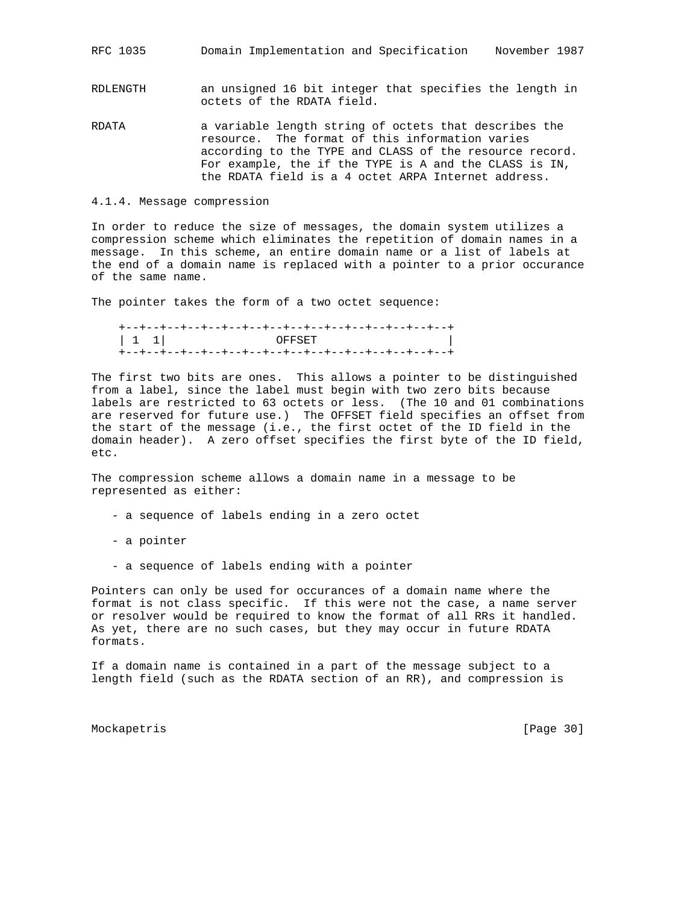RDLENGTH an unsigned 16 bit integer that specifies the length in octets of the RDATA field.

RDATA a variable length string of octets that describes the resource. The format of this information varies according to the TYPE and CLASS of the resource record. For example, the if the TYPE is A and the CLASS is IN, the RDATA field is a 4 octet ARPA Internet address.

## 4.1.4. Message compression

In order to reduce the size of messages, the domain system utilizes a compression scheme which eliminates the repetition of domain names in a message. In this scheme, an entire domain name or a list of labels at the end of a domain name is replaced with a pointer to a prior occurance of the same name.

The pointer takes the form of a two octet sequence:

| $\begin{vmatrix} 1 & 1 \end{vmatrix}$ | OFFSET |
|---------------------------------------|--------|
|                                       |        |

The first two bits are ones. This allows a pointer to be distinguished from a label, since the label must begin with two zero bits because labels are restricted to 63 octets or less. (The 10 and 01 combinations are reserved for future use.) The OFFSET field specifies an offset from the start of the message (i.e., the first octet of the ID field in the domain header). A zero offset specifies the first byte of the ID field, etc.

The compression scheme allows a domain name in a message to be represented as either:

- a sequence of labels ending in a zero octet
- a pointer
- a sequence of labels ending with a pointer

Pointers can only be used for occurances of a domain name where the format is not class specific. If this were not the case, a name server or resolver would be required to know the format of all RRs it handled. As yet, there are no such cases, but they may occur in future RDATA formats.

If a domain name is contained in a part of the message subject to a length field (such as the RDATA section of an RR), and compression is

Mockapetris [Page 30]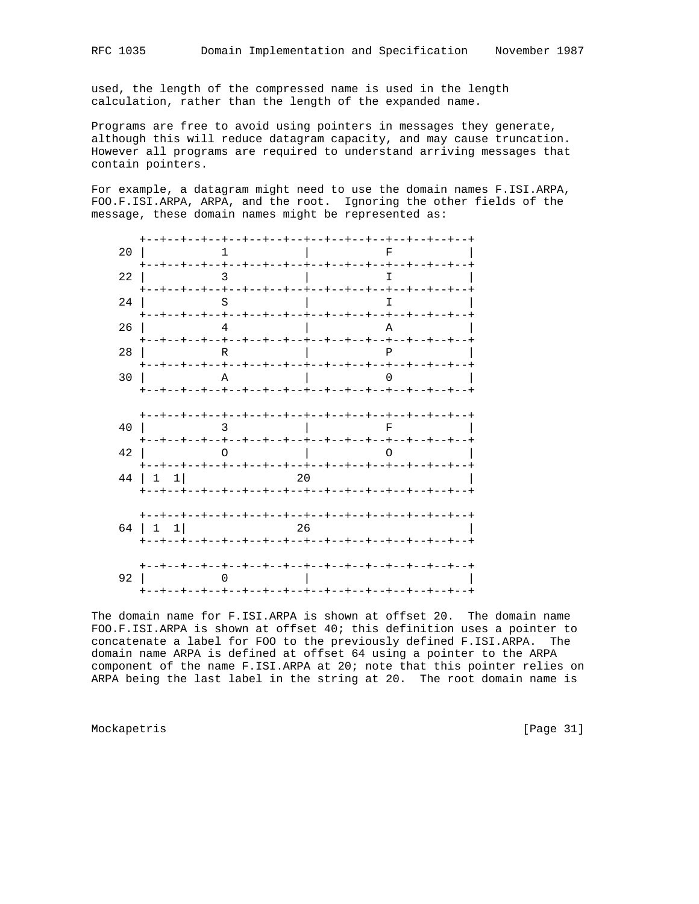used, the length of the compressed name is used in the length calculation, rather than the length of the expanded name.

Programs are free to avoid using pointers in messages they generate, although this will reduce datagram capacity, and may cause truncation. However all programs are required to understand arriving messages that contain pointers.

For example, a datagram might need to use the domain names F.ISI.ARPA, FOO.F.ISI.ARPA, ARPA, and the root. Ignoring the other fields of the message, these domain names might be represented as:

|    | キーーキーーキーーキ                                     |                  |               |                          |        | --+--+--+--+--+--+--+--+--+--+--+--+- |                         |           |
|----|------------------------------------------------|------------------|---------------|--------------------------|--------|---------------------------------------|-------------------------|-----------|
| 20 |                                                | 1                |               |                          |        | F                                     |                         |           |
| 22 |                                                | 3                |               |                          |        | I                                     |                         |           |
| 24 | --+--+<br>-+                                   | --+<br>S         | ーーナーーナーーナーーナ  |                          | ーーキーーキ | I                                     | --+--+--+--+--+         |           |
| 26 |                                                | 4                |               |                          |        | Α                                     |                         |           |
| 28 | ーーナーーナ                                         | --+<br>R         |               | --+--+--+--+--+--+--+--+ |        | Ρ                                     | - - + - - + - - + - - + |           |
| 30 | +--+-                                          | Α                |               |                          |        | O                                     |                         |           |
|    |                                                |                  |               |                          |        |                                       |                         |           |
|    | -+                                             | $-+$             | $- - + - - +$ | --+                      |        | --+--+--+--+--+--+--+--+--+           |                         |           |
| 40 |                                                | 3                |               |                          |        | F                                     |                         |           |
| 42 |                                                | ∩                |               |                          |        | ( )                                   |                         |           |
| 44 | $1\vert$<br>1                                  |                  |               | 20                       |        |                                       |                         |           |
|    |                                                |                  |               |                          |        |                                       |                         |           |
| 64 | $1\vert$<br>1                                  | --+              |               | --+<br>26                |        | --+--+--+--+--+--+--+                 |                         | ーーナーーナーーナ |
| 92 | --+--+--+--+--+--+--+--+--+--+--+-<br>$\,{}^+$ | $\left( \right)$ |               |                          |        | --+--+                                |                         | ーーナーーナーーナ |

The domain name for F.ISI.ARPA is shown at offset 20. The domain name FOO.F.ISI.ARPA is shown at offset 40; this definition uses a pointer to concatenate a label for FOO to the previously defined F.ISI.ARPA. The domain name ARPA is defined at offset 64 using a pointer to the ARPA component of the name F.ISI.ARPA at 20; note that this pointer relies on ARPA being the last label in the string at 20. The root domain name is

Mockapetris [Page 31]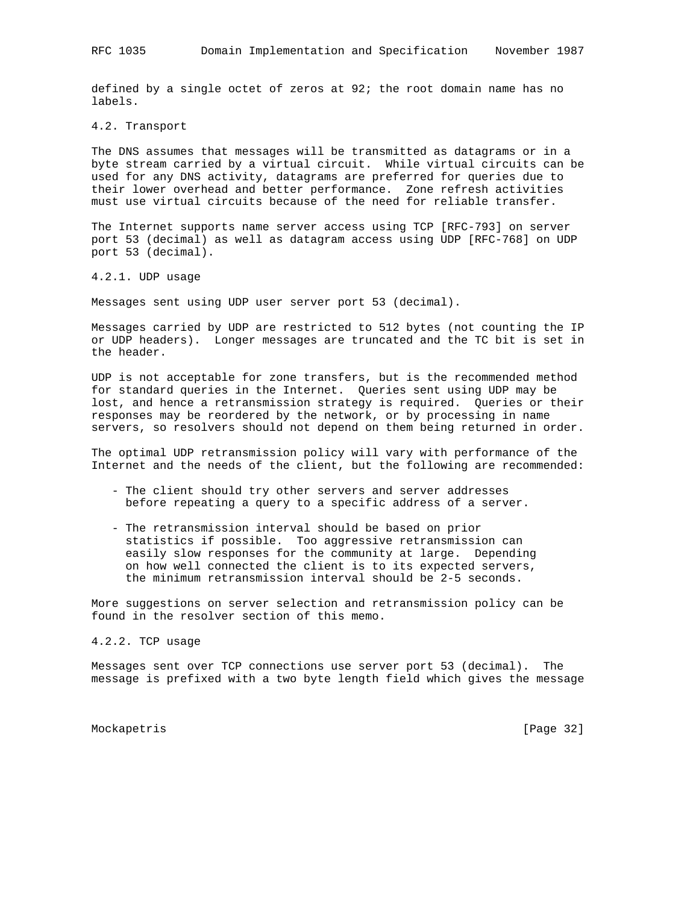defined by a single octet of zeros at 92; the root domain name has no labels.

#### 4.2. Transport

The DNS assumes that messages will be transmitted as datagrams or in a byte stream carried by a virtual circuit. While virtual circuits can be used for any DNS activity, datagrams are preferred for queries due to their lower overhead and better performance. Zone refresh activities must use virtual circuits because of the need for reliable transfer.

The Internet supports name server access using TCP [RFC-793] on server port 53 (decimal) as well as datagram access using UDP [RFC-768] on UDP port 53 (decimal).

4.2.1. UDP usage

Messages sent using UDP user server port 53 (decimal).

Messages carried by UDP are restricted to 512 bytes (not counting the IP or UDP headers). Longer messages are truncated and the TC bit is set in the header.

UDP is not acceptable for zone transfers, but is the recommended method for standard queries in the Internet. Queries sent using UDP may be lost, and hence a retransmission strategy is required. Queries or their responses may be reordered by the network, or by processing in name servers, so resolvers should not depend on them being returned in order.

The optimal UDP retransmission policy will vary with performance of the Internet and the needs of the client, but the following are recommended:

- The client should try other servers and server addresses before repeating a query to a specific address of a server.
- The retransmission interval should be based on prior statistics if possible. Too aggressive retransmission can easily slow responses for the community at large. Depending on how well connected the client is to its expected servers, the minimum retransmission interval should be 2-5 seconds.

More suggestions on server selection and retransmission policy can be found in the resolver section of this memo.

4.2.2. TCP usage

Messages sent over TCP connections use server port 53 (decimal). The message is prefixed with a two byte length field which gives the message

Mockapetris [Page 32]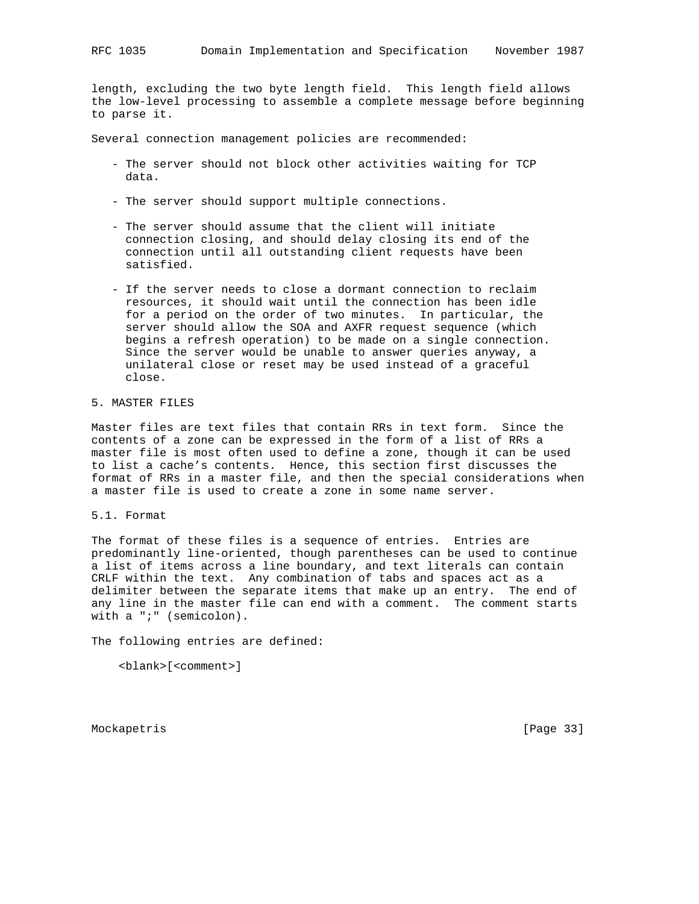length, excluding the two byte length field. This length field allows the low-level processing to assemble a complete message before beginning to parse it.

Several connection management policies are recommended:

- The server should not block other activities waiting for TCP data.
- The server should support multiple connections.
- The server should assume that the client will initiate connection closing, and should delay closing its end of the connection until all outstanding client requests have been satisfied.
- If the server needs to close a dormant connection to reclaim resources, it should wait until the connection has been idle for a period on the order of two minutes. In particular, the server should allow the SOA and AXFR request sequence (which begins a refresh operation) to be made on a single connection. Since the server would be unable to answer queries anyway, a unilateral close or reset may be used instead of a graceful close.

## 5. MASTER FILES

Master files are text files that contain RRs in text form. Since the contents of a zone can be expressed in the form of a list of RRs a master file is most often used to define a zone, though it can be used to list a cache's contents. Hence, this section first discusses the format of RRs in a master file, and then the special considerations when a master file is used to create a zone in some name server.

### 5.1. Format

The format of these files is a sequence of entries. Entries are predominantly line-oriented, though parentheses can be used to continue a list of items across a line boundary, and text literals can contain CRLF within the text. Any combination of tabs and spaces act as a delimiter between the separate items that make up an entry. The end of any line in the master file can end with a comment. The comment starts with a ";" (semicolon).

The following entries are defined:

<blank>[<comment>]

Mockapetris [Page 33]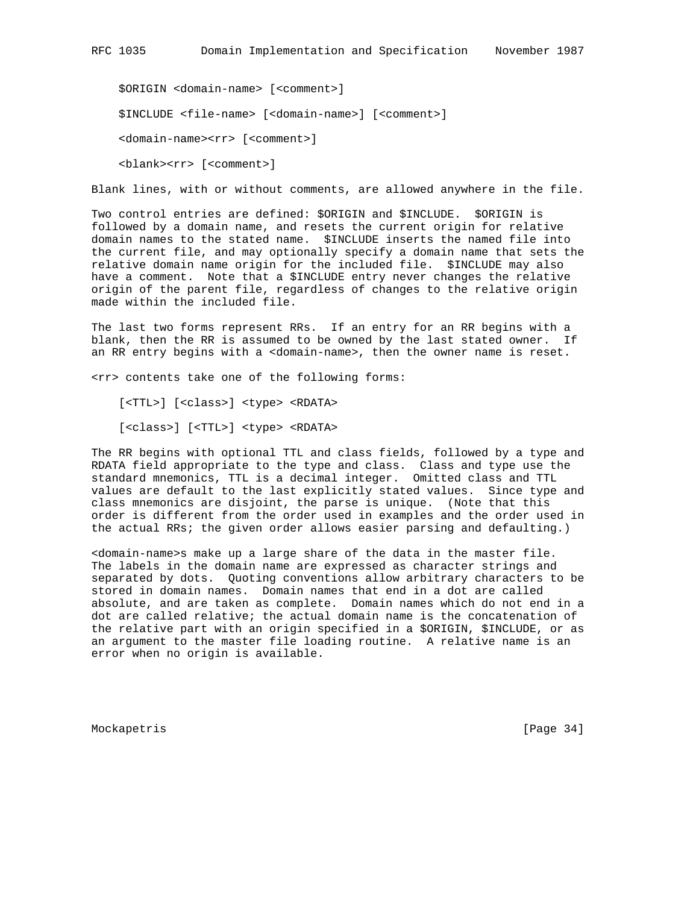\$ORIGIN <domain-name> [<comment>] \$INCLUDE <file-name> [<domain-name>] [<comment>] <domain-name><rr> [<comment>] <blank><rr> [<comment>]

Blank lines, with or without comments, are allowed anywhere in the file.

Two control entries are defined: \$ORIGIN and \$INCLUDE. \$ORIGIN is followed by a domain name, and resets the current origin for relative domain names to the stated name. \$INCLUDE inserts the named file into the current file, and may optionally specify a domain name that sets the relative domain name origin for the included file. \$INCLUDE may also have a comment. Note that a \$INCLUDE entry never changes the relative origin of the parent file, regardless of changes to the relative origin made within the included file.

The last two forms represent RRs. If an entry for an RR begins with a blank, then the RR is assumed to be owned by the last stated owner. If an RR entry begins with a <domain-name>, then the owner name is reset.

<rr> contents take one of the following forms:

[<TTL>] [<class>] <type> <RDATA>

[<class>] [<TTL>] <type> <RDATA>

The RR begins with optional TTL and class fields, followed by a type and RDATA field appropriate to the type and class. Class and type use the standard mnemonics, TTL is a decimal integer. Omitted class and TTL values are default to the last explicitly stated values. Since type and class mnemonics are disjoint, the parse is unique. (Note that this order is different from the order used in examples and the order used in the actual RRs; the given order allows easier parsing and defaulting.)

<domain-name>s make up a large share of the data in the master file. The labels in the domain name are expressed as character strings and separated by dots. Quoting conventions allow arbitrary characters to be stored in domain names. Domain names that end in a dot are called absolute, and are taken as complete. Domain names which do not end in a dot are called relative; the actual domain name is the concatenation of the relative part with an origin specified in a \$ORIGIN, \$INCLUDE, or as an argument to the master file loading routine. A relative name is an error when no origin is available.

Mockapetris [Page 34]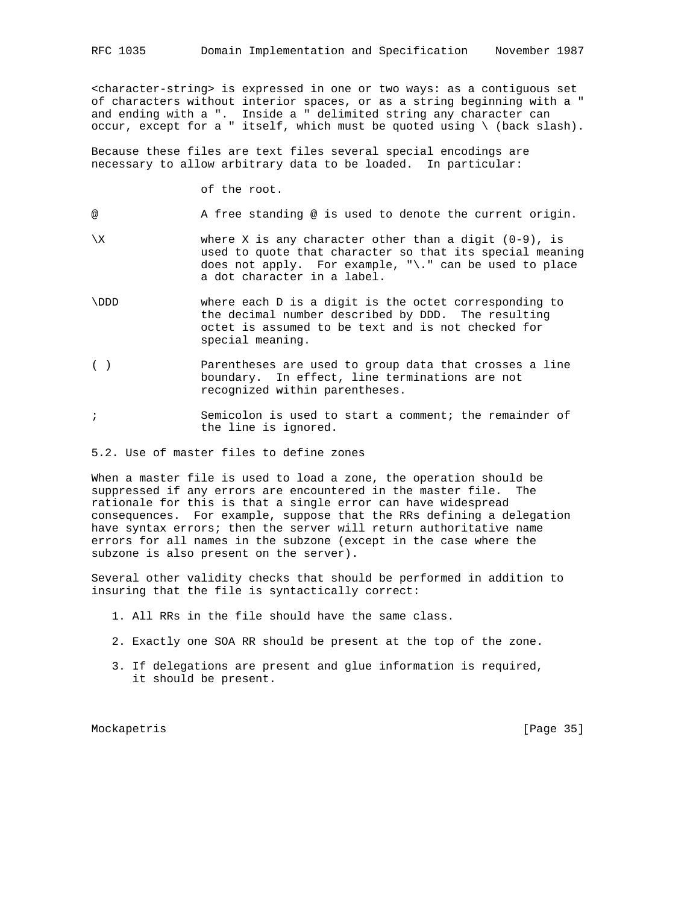<character-string> is expressed in one or two ways: as a contiguous set of characters without interior spaces, or as a string beginning with a " and ending with a ". Inside a " delimited string any character can occur, except for a " itself, which must be quoted using  $\setminus$  (back slash).

Because these files are text files several special encodings are necessary to allow arbitrary data to be loaded. In particular:

of the root.

@ A free standing @ is used to denote the current origin.

- \X where X is any character other than a digit (0-9), is used to quote that character so that its special meaning does not apply. For example, "\." can be used to place a dot character in a label.
- \DDD where each D is a digit is the octet corresponding to the decimal number described by DDD. The resulting octet is assumed to be text and is not checked for special meaning.
- ( ) Parentheses are used to group data that crosses a line boundary. In effect, line terminations are not recognized within parentheses.
- ; Semicolon is used to start a comment; the remainder of the line is ignored.
- 5.2. Use of master files to define zones

When a master file is used to load a zone, the operation should be suppressed if any errors are encountered in the master file. The rationale for this is that a single error can have widespread consequences. For example, suppose that the RRs defining a delegation have syntax errors; then the server will return authoritative name errors for all names in the subzone (except in the case where the subzone is also present on the server).

Several other validity checks that should be performed in addition to insuring that the file is syntactically correct:

- 1. All RRs in the file should have the same class.
- 2. Exactly one SOA RR should be present at the top of the zone.
- 3. If delegations are present and glue information is required, it should be present.

Mockapetris [Page 35]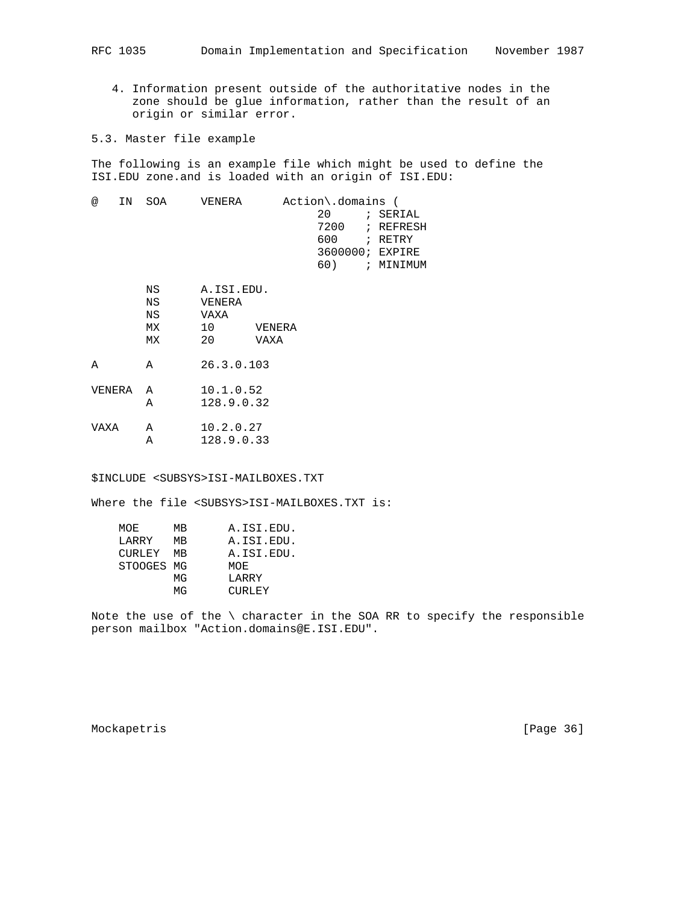4. Information present outside of the authoritative nodes in the zone should be glue information, rather than the result of an origin or similar error.

5.3. Master file example

The following is an example file which might be used to define the ISI.EDU zone.and is loaded with an origin of ISI.EDU:

| @ | ΙN | SOA | VENERA     | $Action\cdot, domains$ ( |                  |
|---|----|-----|------------|--------------------------|------------------|
|   |    |     |            | 20                       | ; SERIAL         |
|   |    |     |            |                          | $7200$ ; REFRESH |
|   |    |     |            | $600$ ; RETRY            |                  |
|   |    |     |            | 3600000; EXPIRE          |                  |
|   |    |     |            | 60)                      | ; MINIMUM        |
|   |    | ΝS  | A.ISI.EDU. |                          |                  |

| ΝS | VENERA |        |
|----|--------|--------|
| ΝS | VAXA   |        |
| мx | 1 O    | VENERA |
| мx | 20     | VAXA   |
|    |        |        |

A A 26.3.0.103

- VENERA A 10.1.0.52 A 128.9.0.32
- VAXA A 10.2.0.27
- A 128.9.0.33

\$INCLUDE <SUBSYS>ISI-MAILBOXES.TXT

Where the file <SUBSYS>ISI-MAILBOXES.TXT is:

| MOE        | MВ | A.ISI.EDU.   |
|------------|----|--------------|
| LARRY      | МB | A.ISI.EDU.   |
| CURLEY     | МB | A.ISI.EDU.   |
| STOOGES MG |    | MOE          |
|            | ΜG | <b>LARRY</b> |
|            | МG | CURLEY       |

Note the use of the  $\setminus$  character in the SOA RR to specify the responsible person mailbox "Action.domains@E.ISI.EDU".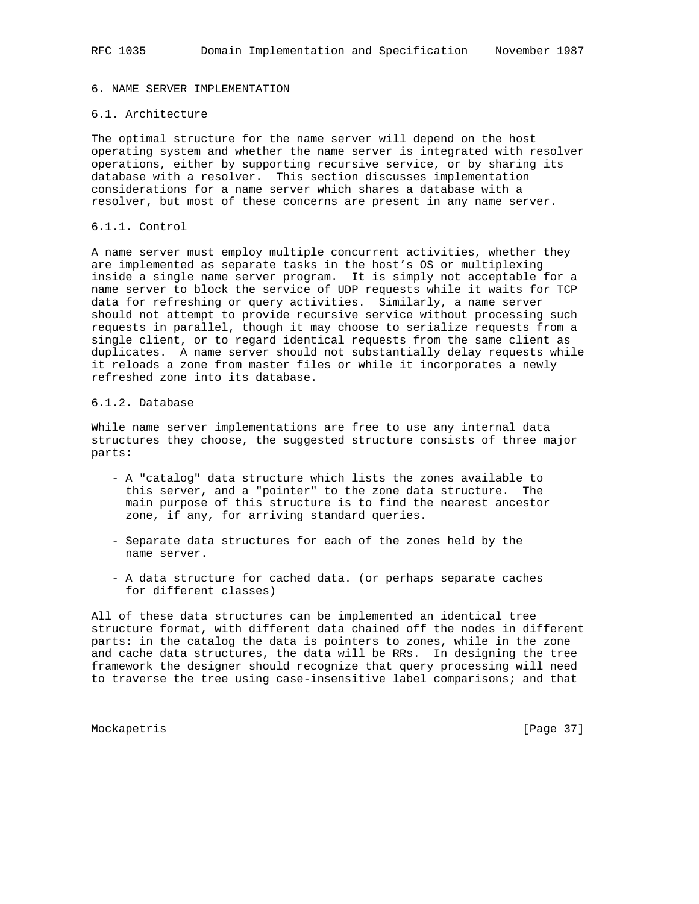## 6. NAME SERVER IMPLEMENTATION

#### 6.1. Architecture

The optimal structure for the name server will depend on the host operating system and whether the name server is integrated with resolver operations, either by supporting recursive service, or by sharing its database with a resolver. This section discusses implementation considerations for a name server which shares a database with a resolver, but most of these concerns are present in any name server.

## 6.1.1. Control

A name server must employ multiple concurrent activities, whether they are implemented as separate tasks in the host's OS or multiplexing inside a single name server program. It is simply not acceptable for a name server to block the service of UDP requests while it waits for TCP data for refreshing or query activities. Similarly, a name server should not attempt to provide recursive service without processing such requests in parallel, though it may choose to serialize requests from a single client, or to regard identical requests from the same client as duplicates. A name server should not substantially delay requests while it reloads a zone from master files or while it incorporates a newly refreshed zone into its database.

## 6.1.2. Database

While name server implementations are free to use any internal data structures they choose, the suggested structure consists of three major parts:

- A "catalog" data structure which lists the zones available to this server, and a "pointer" to the zone data structure. The main purpose of this structure is to find the nearest ancestor zone, if any, for arriving standard queries.
- Separate data structures for each of the zones held by the name server.
- A data structure for cached data. (or perhaps separate caches for different classes)

All of these data structures can be implemented an identical tree structure format, with different data chained off the nodes in different parts: in the catalog the data is pointers to zones, while in the zone and cache data structures, the data will be RRs. In designing the tree framework the designer should recognize that query processing will need to traverse the tree using case-insensitive label comparisons; and that

Mockapetris [Page 37]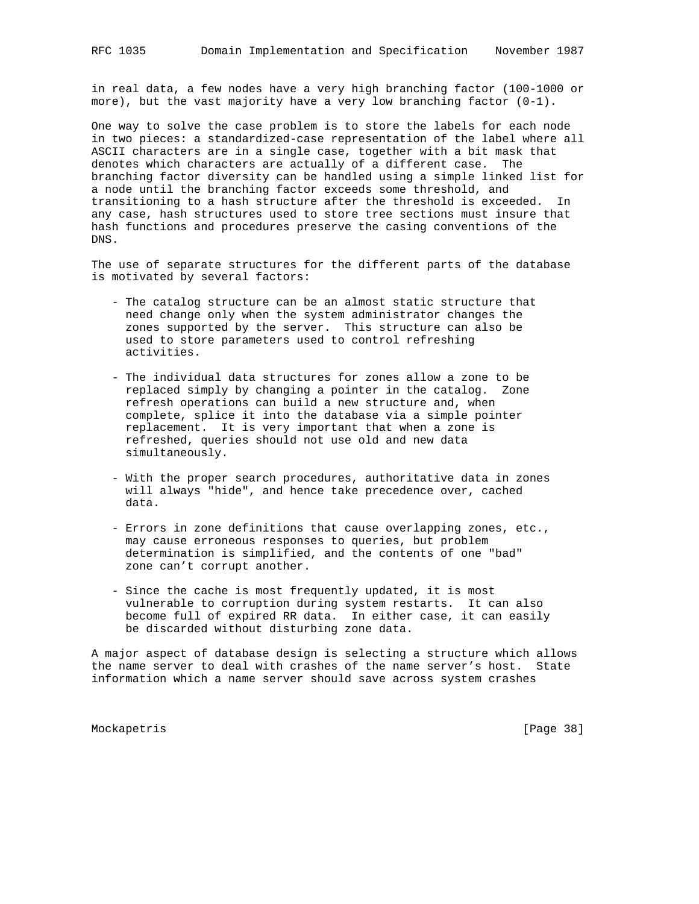in real data, a few nodes have a very high branching factor (100-1000 or more), but the vast majority have a very low branching factor  $(0-1)$ .

One way to solve the case problem is to store the labels for each node in two pieces: a standardized-case representation of the label where all ASCII characters are in a single case, together with a bit mask that denotes which characters are actually of a different case. The branching factor diversity can be handled using a simple linked list for a node until the branching factor exceeds some threshold, and transitioning to a hash structure after the threshold is exceeded. In any case, hash structures used to store tree sections must insure that hash functions and procedures preserve the casing conventions of the DNS.

The use of separate structures for the different parts of the database is motivated by several factors:

- The catalog structure can be an almost static structure that need change only when the system administrator changes the zones supported by the server. This structure can also be used to store parameters used to control refreshing activities.
- The individual data structures for zones allow a zone to be replaced simply by changing a pointer in the catalog. Zone refresh operations can build a new structure and, when complete, splice it into the database via a simple pointer replacement. It is very important that when a zone is refreshed, queries should not use old and new data simultaneously.
- With the proper search procedures, authoritative data in zones will always "hide", and hence take precedence over, cached data.
- Errors in zone definitions that cause overlapping zones, etc., may cause erroneous responses to queries, but problem determination is simplified, and the contents of one "bad" zone can't corrupt another.
- Since the cache is most frequently updated, it is most vulnerable to corruption during system restarts. It can also become full of expired RR data. In either case, it can easily be discarded without disturbing zone data.

A major aspect of database design is selecting a structure which allows the name server to deal with crashes of the name server's host. State information which a name server should save across system crashes

Mockapetris [Page 38]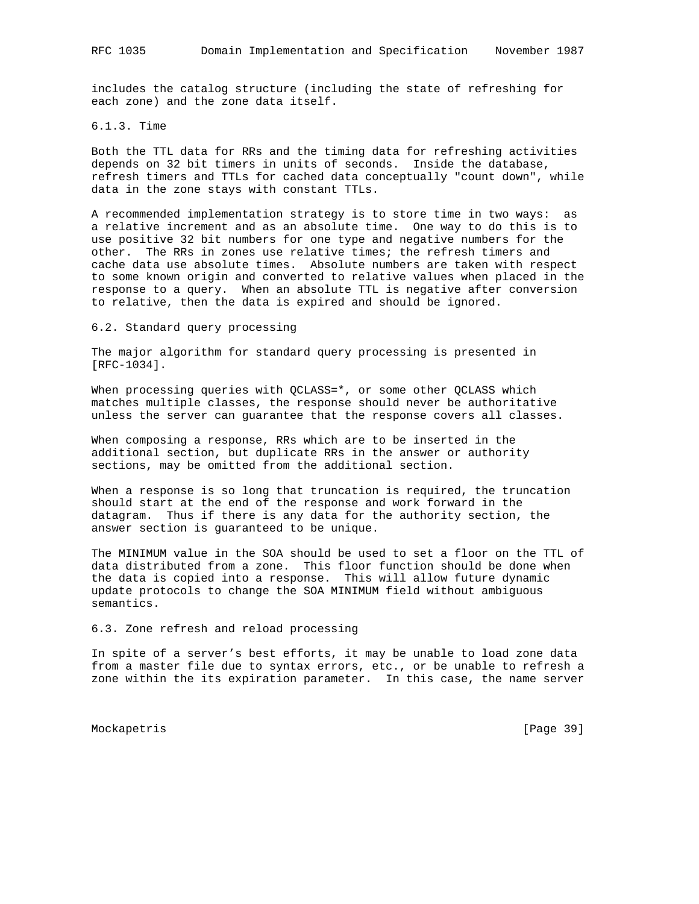includes the catalog structure (including the state of refreshing for each zone) and the zone data itself.

#### 6.1.3. Time

Both the TTL data for RRs and the timing data for refreshing activities depends on 32 bit timers in units of seconds. Inside the database, refresh timers and TTLs for cached data conceptually "count down", while data in the zone stays with constant TTLs.

A recommended implementation strategy is to store time in two ways: as a relative increment and as an absolute time. One way to do this is to use positive 32 bit numbers for one type and negative numbers for the other. The RRs in zones use relative times; the refresh timers and cache data use absolute times. Absolute numbers are taken with respect to some known origin and converted to relative values when placed in the response to a query. When an absolute TTL is negative after conversion to relative, then the data is expired and should be ignored.

#### 6.2. Standard query processing

The major algorithm for standard query processing is presented in [RFC-1034].

When processing queries with QCLASS=\*, or some other QCLASS which matches multiple classes, the response should never be authoritative unless the server can guarantee that the response covers all classes.

When composing a response, RRs which are to be inserted in the additional section, but duplicate RRs in the answer or authority sections, may be omitted from the additional section.

When a response is so long that truncation is required, the truncation should start at the end of the response and work forward in the datagram. Thus if there is any data for the authority section, the answer section is guaranteed to be unique.

The MINIMUM value in the SOA should be used to set a floor on the TTL of data distributed from a zone. This floor function should be done when the data is copied into a response. This will allow future dynamic update protocols to change the SOA MINIMUM field without ambiguous semantics.

#### 6.3. Zone refresh and reload processing

In spite of a server's best efforts, it may be unable to load zone data from a master file due to syntax errors, etc., or be unable to refresh a zone within the its expiration parameter. In this case, the name server

Mockapetris [Page 39]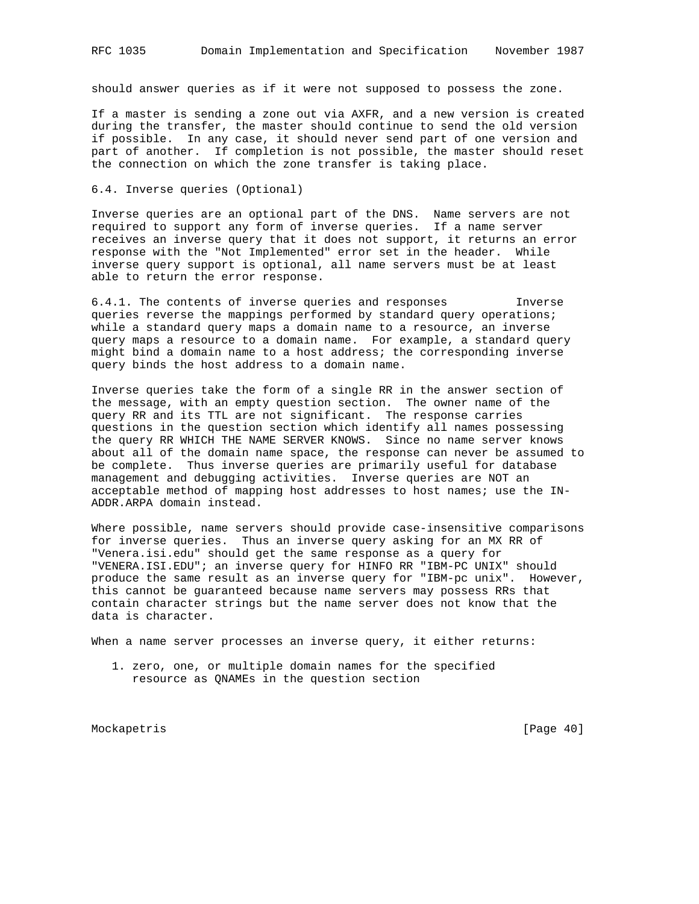should answer queries as if it were not supposed to possess the zone.

If a master is sending a zone out via AXFR, and a new version is created during the transfer, the master should continue to send the old version if possible. In any case, it should never send part of one version and part of another. If completion is not possible, the master should reset the connection on which the zone transfer is taking place.

6.4. Inverse queries (Optional)

Inverse queries are an optional part of the DNS. Name servers are not required to support any form of inverse queries. If a name server receives an inverse query that it does not support, it returns an error response with the "Not Implemented" error set in the header. While inverse query support is optional, all name servers must be at least able to return the error response.

6.4.1. The contents of inverse queries and responses Inverse queries reverse the mappings performed by standard query operations; while a standard query maps a domain name to a resource, an inverse query maps a resource to a domain name. For example, a standard query might bind a domain name to a host address; the corresponding inverse query binds the host address to a domain name.

Inverse queries take the form of a single RR in the answer section of the message, with an empty question section. The owner name of the query RR and its TTL are not significant. The response carries questions in the question section which identify all names possessing the query RR WHICH THE NAME SERVER KNOWS. Since no name server knows about all of the domain name space, the response can never be assumed to be complete. Thus inverse queries are primarily useful for database management and debugging activities. Inverse queries are NOT an acceptable method of mapping host addresses to host names; use the IN-ADDR.ARPA domain instead.

Where possible, name servers should provide case-insensitive comparisons for inverse queries. Thus an inverse query asking for an MX RR of "Venera.isi.edu" should get the same response as a query for "VENERA.ISI.EDU"; an inverse query for HINFO RR "IBM-PC UNIX" should produce the same result as an inverse query for "IBM-pc unix". However, this cannot be guaranteed because name servers may possess RRs that contain character strings but the name server does not know that the data is character.

When a name server processes an inverse query, it either returns:

 1. zero, one, or multiple domain names for the specified resource as QNAMEs in the question section

Mockapetris [Page 40]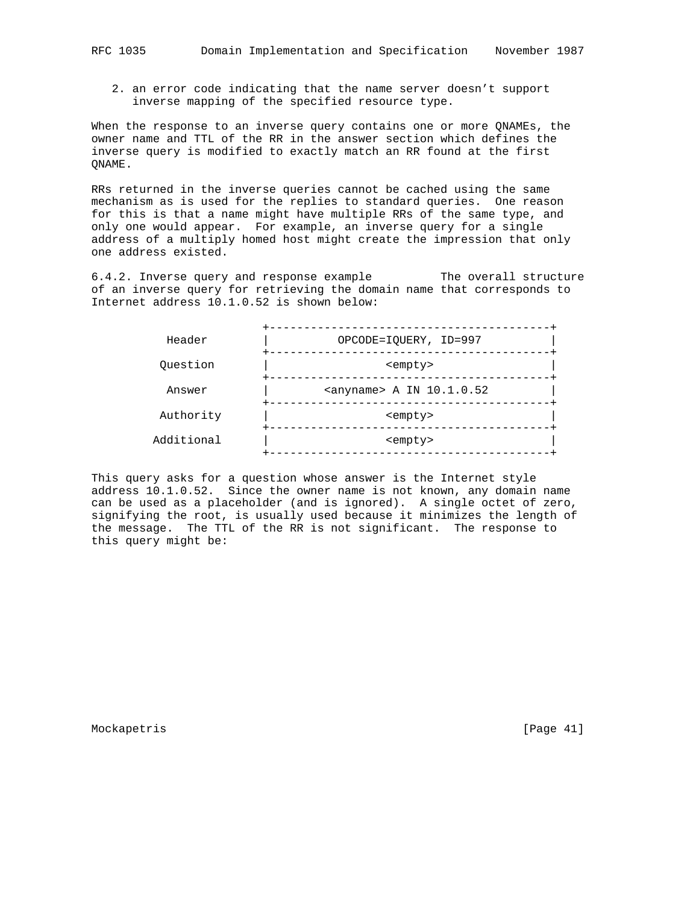2. an error code indicating that the name server doesn't support inverse mapping of the specified resource type.

When the response to an inverse query contains one or more QNAMEs, the owner name and TTL of the RR in the answer section which defines the inverse query is modified to exactly match an RR found at the first QNAME.

RRs returned in the inverse queries cannot be cached using the same mechanism as is used for the replies to standard queries. One reason for this is that a name might have multiple RRs of the same type, and only one would appear. For example, an inverse query for a single address of a multiply homed host might create the impression that only one address existed.

6.4.2. Inverse query and response example The overall structure of an inverse query for retrieving the domain name that corresponds to Internet address 10.1.0.52 is shown below:

| Header     | OPCODE=IQUERY, ID=997              |
|------------|------------------------------------|
| Ouestion   | <empty></empty>                    |
| Answer     | <anyname> A IN 10.1.0.52</anyname> |
| Authority  | <empty></empty>                    |
| Additional | <empty></empty>                    |

This query asks for a question whose answer is the Internet style address 10.1.0.52. Since the owner name is not known, any domain name can be used as a placeholder (and is ignored). A single octet of zero, signifying the root, is usually used because it minimizes the length of the message. The TTL of the RR is not significant. The response to this query might be:

Mockapetris [Page 41]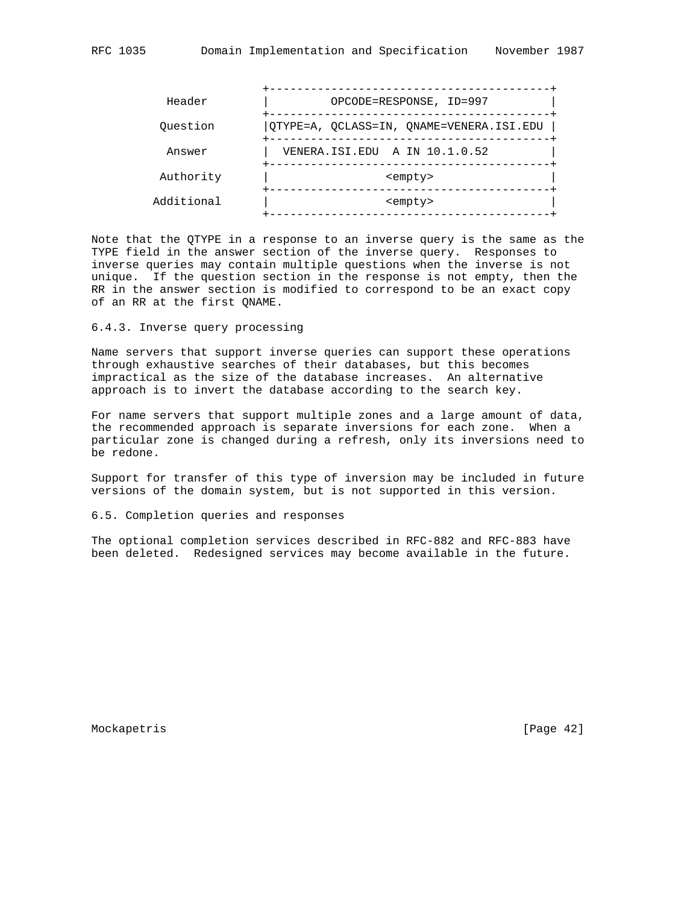| Header     | OPCODE=RESPONSE, ID=997                  |
|------------|------------------------------------------|
|            |                                          |
| Ouestion   | QTYPE=A, QCLASS=IN, QNAME=VENERA.ISI.EDU |
| Answer     | VENERA. ISI. EDU A IN 10.1.0.52          |
| Authority  | <empty></empty>                          |
| Additional | <empty></empty>                          |
|            |                                          |

Note that the QTYPE in a response to an inverse query is the same as the TYPE field in the answer section of the inverse query. Responses to inverse queries may contain multiple questions when the inverse is not unique. If the question section in the response is not empty, then the RR in the answer section is modified to correspond to be an exact copy of an RR at the first QNAME.

#### 6.4.3. Inverse query processing

Name servers that support inverse queries can support these operations through exhaustive searches of their databases, but this becomes impractical as the size of the database increases. An alternative approach is to invert the database according to the search key.

For name servers that support multiple zones and a large amount of data, the recommended approach is separate inversions for each zone. When a particular zone is changed during a refresh, only its inversions need to be redone.

Support for transfer of this type of inversion may be included in future versions of the domain system, but is not supported in this version.

### 6.5. Completion queries and responses

The optional completion services described in RFC-882 and RFC-883 have been deleted. Redesigned services may become available in the future.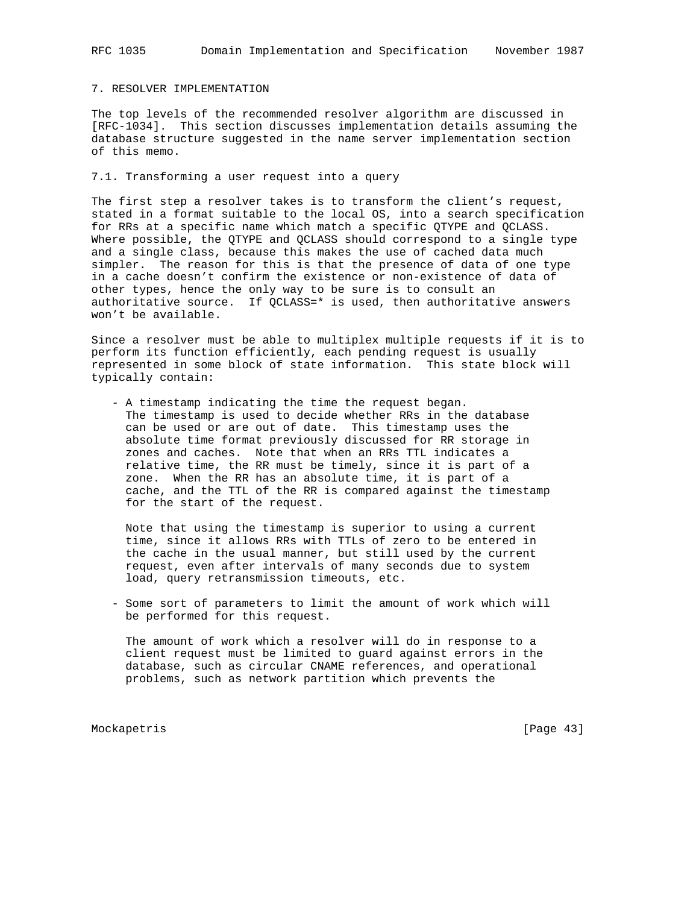## 7. RESOLVER IMPLEMENTATION

The top levels of the recommended resolver algorithm are discussed in [RFC-1034]. This section discusses implementation details assuming the database structure suggested in the name server implementation section of this memo.

#### 7.1. Transforming a user request into a query

The first step a resolver takes is to transform the client's request, stated in a format suitable to the local OS, into a search specification for RRs at a specific name which match a specific QTYPE and QCLASS. Where possible, the QTYPE and QCLASS should correspond to a single type and a single class, because this makes the use of cached data much simpler. The reason for this is that the presence of data of one type in a cache doesn't confirm the existence or non-existence of data of other types, hence the only way to be sure is to consult an authoritative source. If QCLASS=\* is used, then authoritative answers won't be available.

Since a resolver must be able to multiplex multiple requests if it is to perform its function efficiently, each pending request is usually represented in some block of state information. This state block will typically contain:

 - A timestamp indicating the time the request began. The timestamp is used to decide whether RRs in the database can be used or are out of date. This timestamp uses the absolute time format previously discussed for RR storage in zones and caches. Note that when an RRs TTL indicates a relative time, the RR must be timely, since it is part of a zone. When the RR has an absolute time, it is part of a cache, and the TTL of the RR is compared against the timestamp for the start of the request.

 Note that using the timestamp is superior to using a current time, since it allows RRs with TTLs of zero to be entered in the cache in the usual manner, but still used by the current request, even after intervals of many seconds due to system load, query retransmission timeouts, etc.

 - Some sort of parameters to limit the amount of work which will be performed for this request.

 The amount of work which a resolver will do in response to a client request must be limited to guard against errors in the database, such as circular CNAME references, and operational problems, such as network partition which prevents the

Mockapetris [Page 43]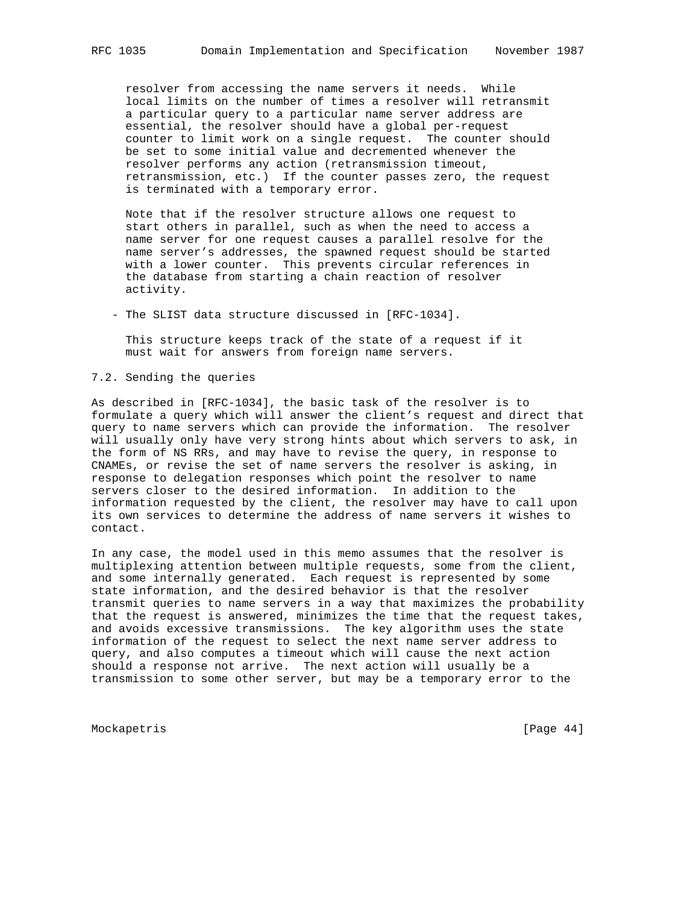resolver from accessing the name servers it needs. While local limits on the number of times a resolver will retransmit a particular query to a particular name server address are essential, the resolver should have a global per-request counter to limit work on a single request. The counter should be set to some initial value and decremented whenever the resolver performs any action (retransmission timeout, retransmission, etc.) If the counter passes zero, the request is terminated with a temporary error.

 Note that if the resolver structure allows one request to start others in parallel, such as when the need to access a name server for one request causes a parallel resolve for the name server's addresses, the spawned request should be started with a lower counter. This prevents circular references in the database from starting a chain reaction of resolver activity.

- The SLIST data structure discussed in [RFC-1034].

 This structure keeps track of the state of a request if it must wait for answers from foreign name servers.

## 7.2. Sending the queries

As described in [RFC-1034], the basic task of the resolver is to formulate a query which will answer the client's request and direct that query to name servers which can provide the information. The resolver will usually only have very strong hints about which servers to ask, in the form of NS RRs, and may have to revise the query, in response to CNAMEs, or revise the set of name servers the resolver is asking, in response to delegation responses which point the resolver to name servers closer to the desired information. In addition to the information requested by the client, the resolver may have to call upon its own services to determine the address of name servers it wishes to contact.

In any case, the model used in this memo assumes that the resolver is multiplexing attention between multiple requests, some from the client, and some internally generated. Each request is represented by some state information, and the desired behavior is that the resolver transmit queries to name servers in a way that maximizes the probability that the request is answered, minimizes the time that the request takes, and avoids excessive transmissions. The key algorithm uses the state information of the request to select the next name server address to query, and also computes a timeout which will cause the next action should a response not arrive. The next action will usually be a transmission to some other server, but may be a temporary error to the

Mockapetris [Page 44]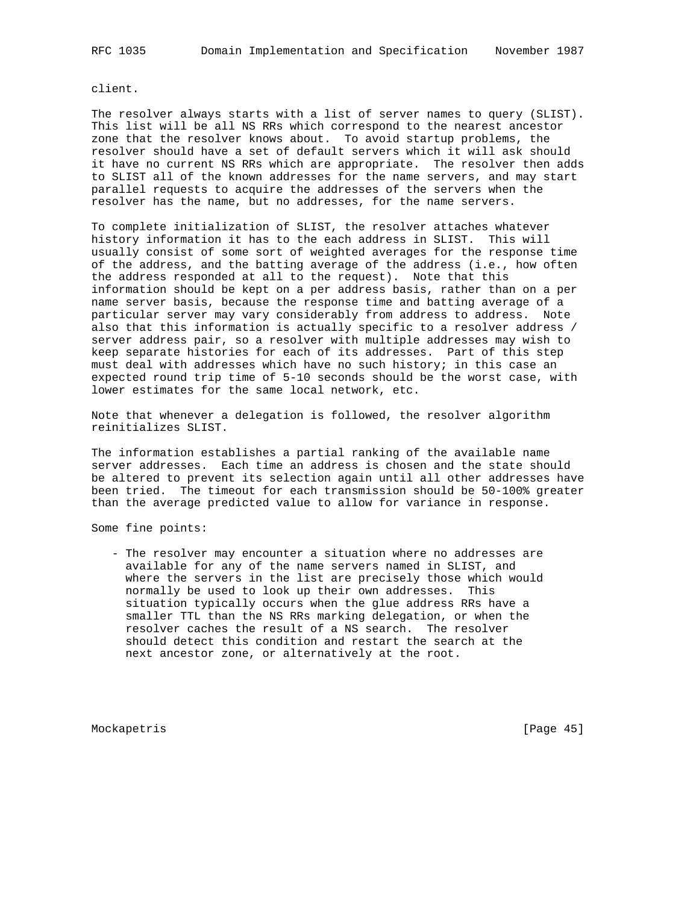client.

The resolver always starts with a list of server names to query (SLIST). This list will be all NS RRs which correspond to the nearest ancestor zone that the resolver knows about. To avoid startup problems, the resolver should have a set of default servers which it will ask should it have no current NS RRs which are appropriate. The resolver then adds to SLIST all of the known addresses for the name servers, and may start parallel requests to acquire the addresses of the servers when the resolver has the name, but no addresses, for the name servers.

To complete initialization of SLIST, the resolver attaches whatever history information it has to the each address in SLIST. This will usually consist of some sort of weighted averages for the response time of the address, and the batting average of the address (i.e., how often the address responded at all to the request). Note that this information should be kept on a per address basis, rather than on a per name server basis, because the response time and batting average of a particular server may vary considerably from address to address. Note also that this information is actually specific to a resolver address / server address pair, so a resolver with multiple addresses may wish to keep separate histories for each of its addresses. Part of this step must deal with addresses which have no such history; in this case an expected round trip time of 5-10 seconds should be the worst case, with lower estimates for the same local network, etc.

Note that whenever a delegation is followed, the resolver algorithm reinitializes SLIST.

The information establishes a partial ranking of the available name server addresses. Each time an address is chosen and the state should be altered to prevent its selection again until all other addresses have been tried. The timeout for each transmission should be 50-100% greater than the average predicted value to allow for variance in response.

Some fine points:

 - The resolver may encounter a situation where no addresses are available for any of the name servers named in SLIST, and where the servers in the list are precisely those which would normally be used to look up their own addresses. This situation typically occurs when the glue address RRs have a smaller TTL than the NS RRs marking delegation, or when the resolver caches the result of a NS search. The resolver should detect this condition and restart the search at the next ancestor zone, or alternatively at the root.

Mockapetris [Page 45]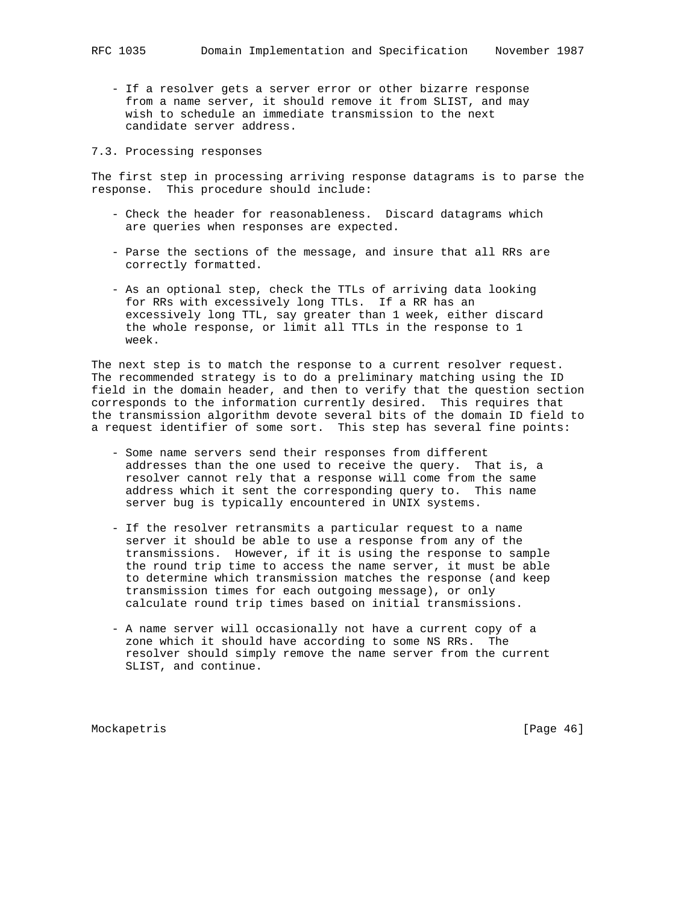- If a resolver gets a server error or other bizarre response from a name server, it should remove it from SLIST, and may wish to schedule an immediate transmission to the next candidate server address.

## 7.3. Processing responses

The first step in processing arriving response datagrams is to parse the response. This procedure should include:

- Check the header for reasonableness. Discard datagrams which are queries when responses are expected.
- Parse the sections of the message, and insure that all RRs are correctly formatted.
- As an optional step, check the TTLs of arriving data looking for RRs with excessively long TTLs. If a RR has an excessively long TTL, say greater than 1 week, either discard the whole response, or limit all TTLs in the response to 1 week.

The next step is to match the response to a current resolver request. The recommended strategy is to do a preliminary matching using the ID field in the domain header, and then to verify that the question section corresponds to the information currently desired. This requires that the transmission algorithm devote several bits of the domain ID field to a request identifier of some sort. This step has several fine points:

- Some name servers send their responses from different addresses than the one used to receive the query. That is, a resolver cannot rely that a response will come from the same address which it sent the corresponding query to. This name server bug is typically encountered in UNIX systems.
- If the resolver retransmits a particular request to a name server it should be able to use a response from any of the transmissions. However, if it is using the response to sample the round trip time to access the name server, it must be able to determine which transmission matches the response (and keep transmission times for each outgoing message), or only calculate round trip times based on initial transmissions.
- A name server will occasionally not have a current copy of a zone which it should have according to some NS RRs. The resolver should simply remove the name server from the current SLIST, and continue.

Mockapetris [Page 46]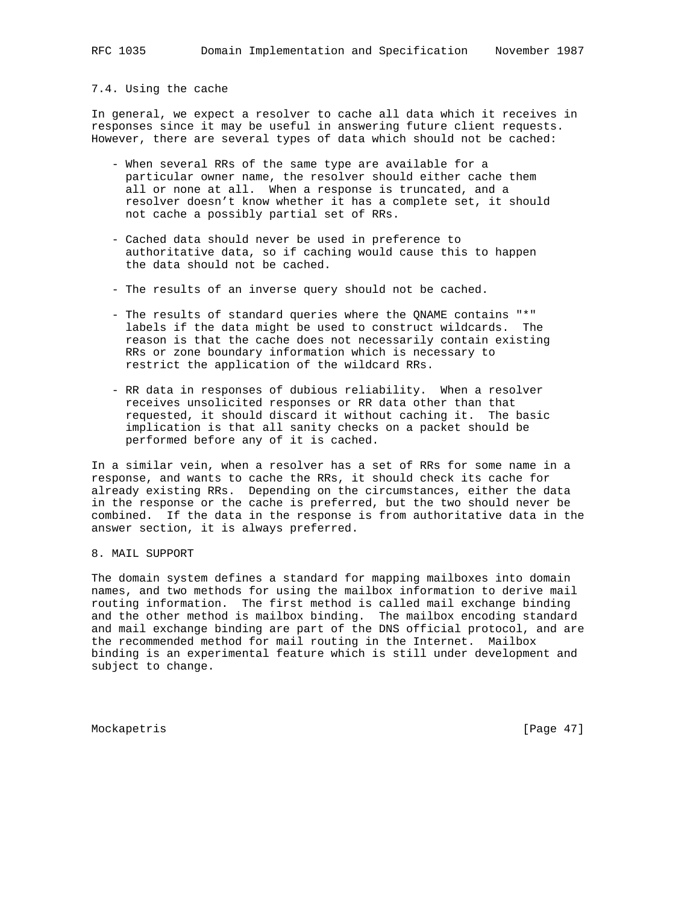#### 7.4. Using the cache

In general, we expect a resolver to cache all data which it receives in responses since it may be useful in answering future client requests. However, there are several types of data which should not be cached:

- When several RRs of the same type are available for a particular owner name, the resolver should either cache them all or none at all. When a response is truncated, and a resolver doesn't know whether it has a complete set, it should not cache a possibly partial set of RRs.
- Cached data should never be used in preference to authoritative data, so if caching would cause this to happen the data should not be cached.
- The results of an inverse query should not be cached.
- The results of standard queries where the QNAME contains "\*" labels if the data might be used to construct wildcards. The reason is that the cache does not necessarily contain existing RRs or zone boundary information which is necessary to restrict the application of the wildcard RRs.
- RR data in responses of dubious reliability. When a resolver receives unsolicited responses or RR data other than that requested, it should discard it without caching it. The basic implication is that all sanity checks on a packet should be performed before any of it is cached.

In a similar vein, when a resolver has a set of RRs for some name in a response, and wants to cache the RRs, it should check its cache for already existing RRs. Depending on the circumstances, either the data in the response or the cache is preferred, but the two should never be combined. If the data in the response is from authoritative data in the answer section, it is always preferred.

## 8. MAIL SUPPORT

The domain system defines a standard for mapping mailboxes into domain names, and two methods for using the mailbox information to derive mail routing information. The first method is called mail exchange binding and the other method is mailbox binding. The mailbox encoding standard and mail exchange binding are part of the DNS official protocol, and are the recommended method for mail routing in the Internet. Mailbox binding is an experimental feature which is still under development and subject to change.

Mockapetris [Page 47]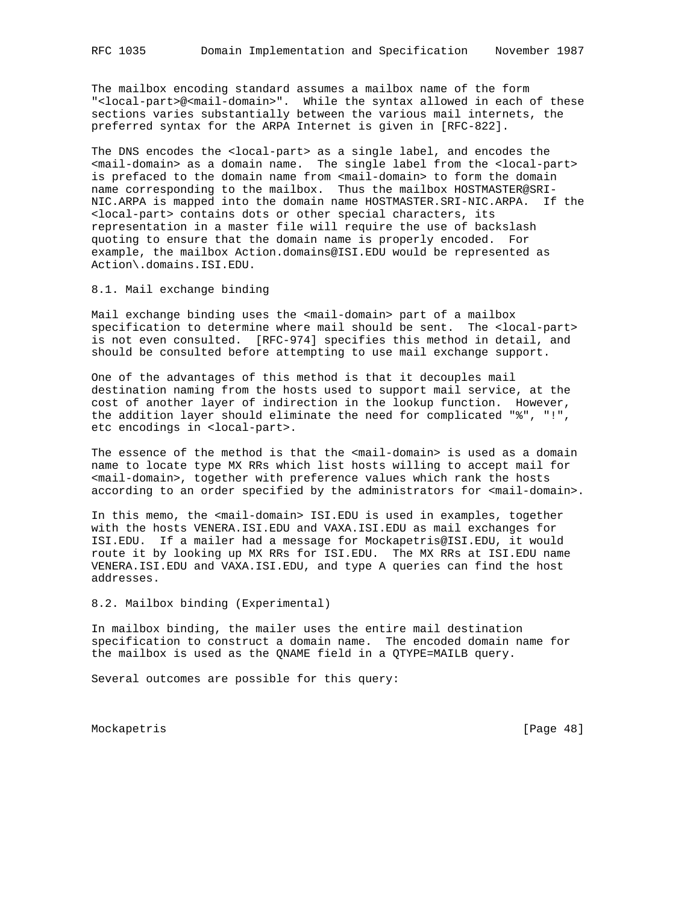The mailbox encoding standard assumes a mailbox name of the form "<local-part>@<mail-domain>". While the syntax allowed in each of these sections varies substantially between the various mail internets, the preferred syntax for the ARPA Internet is given in [RFC-822].

The DNS encodes the <local-part> as a single label, and encodes the <mail-domain> as a domain name. The single label from the <local-part> is prefaced to the domain name from <mail-domain> to form the domain name corresponding to the mailbox. Thus the mailbox HOSTMASTER@SRI-NIC.ARPA is mapped into the domain name HOSTMASTER.SRI-NIC.ARPA. If the <local-part> contains dots or other special characters, its representation in a master file will require the use of backslash quoting to ensure that the domain name is properly encoded. For example, the mailbox Action.domains@ISI.EDU would be represented as Action\.domains.ISI.EDU.

8.1. Mail exchange binding

Mail exchange binding uses the <mail-domain> part of a mailbox specification to determine where mail should be sent. The <local-part> is not even consulted. [RFC-974] specifies this method in detail, and should be consulted before attempting to use mail exchange support.

One of the advantages of this method is that it decouples mail destination naming from the hosts used to support mail service, at the cost of another layer of indirection in the lookup function. However, the addition layer should eliminate the need for complicated "%", "!", etc encodings in <local-part>.

The essence of the method is that the <mail-domain> is used as a domain name to locate type MX RRs which list hosts willing to accept mail for <mail-domain>, together with preference values which rank the hosts according to an order specified by the administrators for <mail-domain>.

In this memo, the <mail-domain> ISI.EDU is used in examples, together with the hosts VENERA.ISI.EDU and VAXA.ISI.EDU as mail exchanges for ISI.EDU. If a mailer had a message for Mockapetris@ISI.EDU, it would route it by looking up MX RRs for ISI.EDU. The MX RRs at ISI.EDU name VENERA.ISI.EDU and VAXA.ISI.EDU, and type A queries can find the host addresses.

8.2. Mailbox binding (Experimental)

In mailbox binding, the mailer uses the entire mail destination specification to construct a domain name. The encoded domain name for the mailbox is used as the QNAME field in a QTYPE=MAILB query.

Several outcomes are possible for this query:

Mockapetris [Page 48]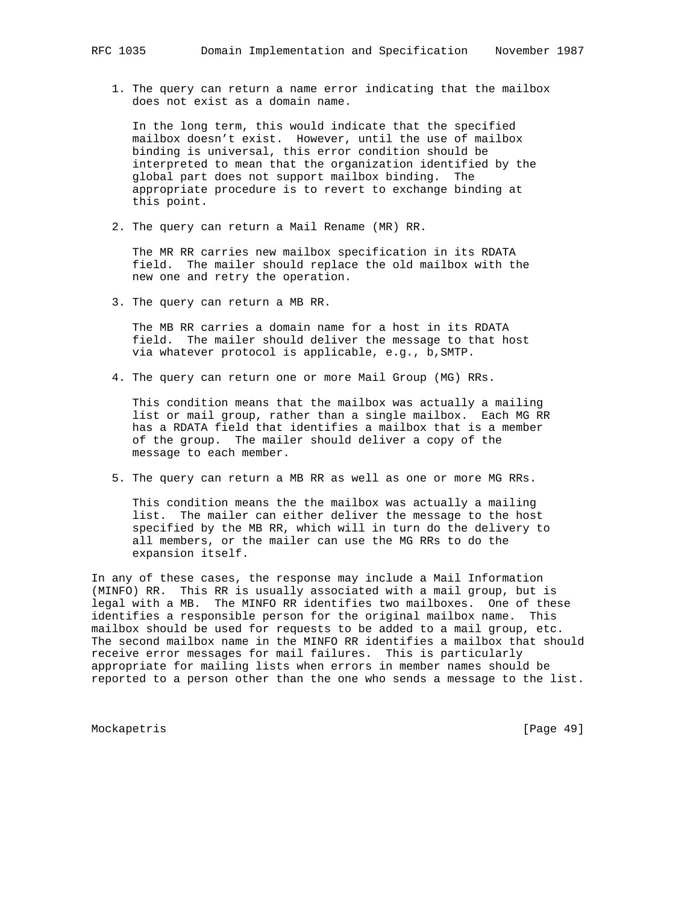- 
- 1. The query can return a name error indicating that the mailbox does not exist as a domain name.

 In the long term, this would indicate that the specified mailbox doesn't exist. However, until the use of mailbox binding is universal, this error condition should be interpreted to mean that the organization identified by the global part does not support mailbox binding. The appropriate procedure is to revert to exchange binding at this point.

2. The query can return a Mail Rename (MR) RR.

 The MR RR carries new mailbox specification in its RDATA field. The mailer should replace the old mailbox with the new one and retry the operation.

3. The query can return a MB RR.

 The MB RR carries a domain name for a host in its RDATA field. The mailer should deliver the message to that host via whatever protocol is applicable, e.g., b,SMTP.

4. The query can return one or more Mail Group (MG) RRs.

 This condition means that the mailbox was actually a mailing list or mail group, rather than a single mailbox. Each MG RR has a RDATA field that identifies a mailbox that is a member of the group. The mailer should deliver a copy of the message to each member.

5. The query can return a MB RR as well as one or more MG RRs.

 This condition means the the mailbox was actually a mailing list. The mailer can either deliver the message to the host specified by the MB RR, which will in turn do the delivery to all members, or the mailer can use the MG RRs to do the expansion itself.

In any of these cases, the response may include a Mail Information (MINFO) RR. This RR is usually associated with a mail group, but is legal with a MB. The MINFO RR identifies two mailboxes. One of these identifies a responsible person for the original mailbox name. This mailbox should be used for requests to be added to a mail group, etc. The second mailbox name in the MINFO RR identifies a mailbox that should receive error messages for mail failures. This is particularly appropriate for mailing lists when errors in member names should be reported to a person other than the one who sends a message to the list.

Mockapetris [Page 49]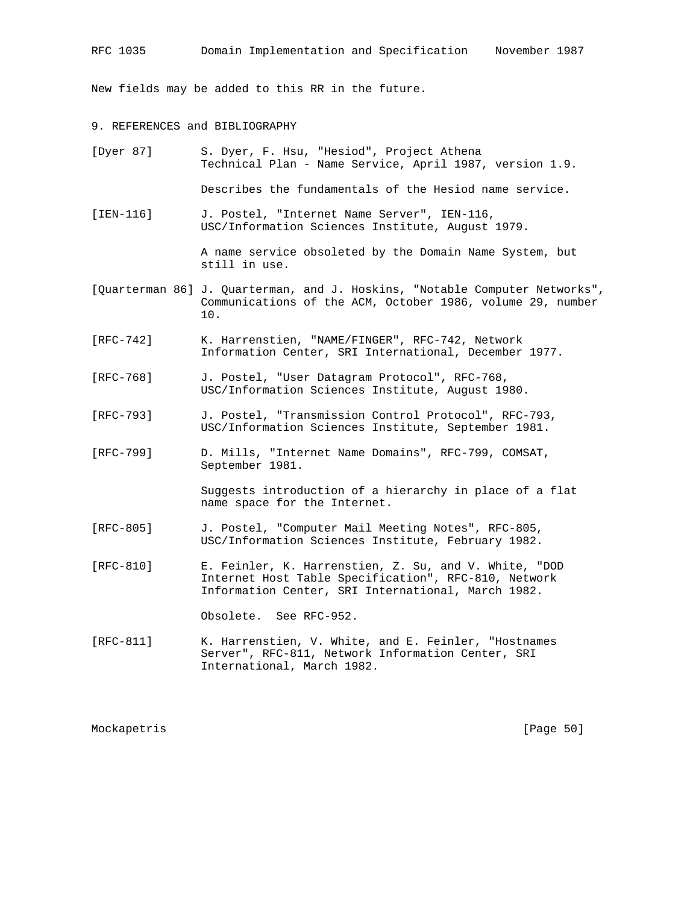New fields may be added to this RR in the future.

#### 9. REFERENCES and BIBLIOGRAPHY

[Dyer 87] S. Dyer, F. Hsu, "Hesiod", Project Athena Technical Plan - Name Service, April 1987, version 1.9.

Describes the fundamentals of the Hesiod name service.

[IEN-116] J. Postel, "Internet Name Server", IEN-116, USC/Information Sciences Institute, August 1979.

> A name service obsoleted by the Domain Name System, but still in use.

- [Quarterman 86] J. Quarterman, and J. Hoskins, "Notable Computer Networks", Communications of the ACM, October 1986, volume 29, number 10.
- [RFC-742] K. Harrenstien, "NAME/FINGER", RFC-742, Network Information Center, SRI International, December 1977.
- [RFC-768] J. Postel, "User Datagram Protocol", RFC-768, USC/Information Sciences Institute, August 1980.
- [RFC-793] J. Postel, "Transmission Control Protocol", RFC-793, USC/Information Sciences Institute, September 1981.
- [RFC-799] D. Mills, "Internet Name Domains", RFC-799, COMSAT, September 1981.

 Suggests introduction of a hierarchy in place of a flat name space for the Internet.

- [RFC-805] J. Postel, "Computer Mail Meeting Notes", RFC-805, USC/Information Sciences Institute, February 1982.
- [RFC-810] E. Feinler, K. Harrenstien, Z. Su, and V. White, "DOD Internet Host Table Specification", RFC-810, Network Information Center, SRI International, March 1982.

Obsolete. See RFC-952.

[RFC-811] K. Harrenstien, V. White, and E. Feinler, "Hostnames Server", RFC-811, Network Information Center, SRI International, March 1982.

Mockapetris [Page 50]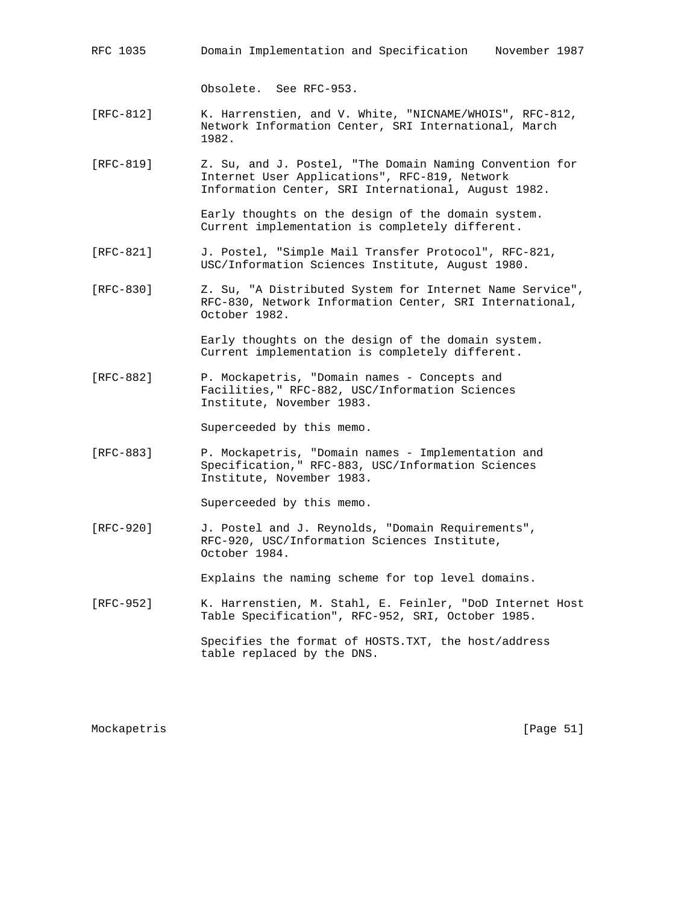Obsolete. See RFC-953.

- [RFC-812] K. Harrenstien, and V. White, "NICNAME/WHOIS", RFC-812, Network Information Center, SRI International, March 1982.
- [RFC-819] Z. Su, and J. Postel, "The Domain Naming Convention for Internet User Applications", RFC-819, Network Information Center, SRI International, August 1982.

 Early thoughts on the design of the domain system. Current implementation is completely different.

- [RFC-821] J. Postel, "Simple Mail Transfer Protocol", RFC-821, USC/Information Sciences Institute, August 1980.
- [RFC-830] Z. Su, "A Distributed System for Internet Name Service", RFC-830, Network Information Center, SRI International, October 1982.

 Early thoughts on the design of the domain system. Current implementation is completely different.

[RFC-882] P. Mockapetris, "Domain names - Concepts and Facilities," RFC-882, USC/Information Sciences Institute, November 1983.

Superceeded by this memo.

[RFC-883] P. Mockapetris, "Domain names - Implementation and Specification," RFC-883, USC/Information Sciences Institute, November 1983.

Superceeded by this memo.

[RFC-920] J. Postel and J. Reynolds, "Domain Requirements", RFC-920, USC/Information Sciences Institute, October 1984.

Explains the naming scheme for top level domains.

[RFC-952] K. Harrenstien, M. Stahl, E. Feinler, "DoD Internet Host Table Specification", RFC-952, SRI, October 1985.

> Specifies the format of HOSTS.TXT, the host/address table replaced by the DNS.

Mockapetris [Page 51]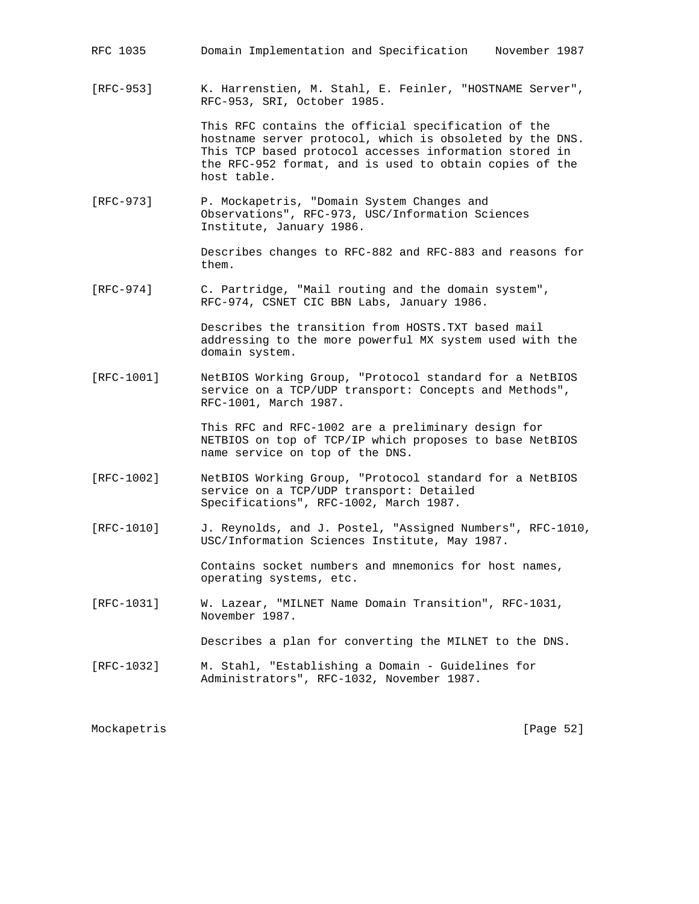[RFC-953] K. Harrenstien, M. Stahl, E. Feinler, "HOSTNAME Server", RFC-953, SRI, October 1985.

> This RFC contains the official specification of the hostname server protocol, which is obsoleted by the DNS. This TCP based protocol accesses information stored in the RFC-952 format, and is used to obtain copies of the host table.

[RFC-973] P. Mockapetris, "Domain System Changes and Observations", RFC-973, USC/Information Sciences Institute, January 1986.

> Describes changes to RFC-882 and RFC-883 and reasons for them.

[RFC-974] C. Partridge, "Mail routing and the domain system", RFC-974, CSNET CIC BBN Labs, January 1986.

> Describes the transition from HOSTS.TXT based mail addressing to the more powerful MX system used with the domain system.

[RFC-1001] NetBIOS Working Group, "Protocol standard for a NetBIOS service on a TCP/UDP transport: Concepts and Methods", RFC-1001, March 1987.

> This RFC and RFC-1002 are a preliminary design for NETBIOS on top of TCP/IP which proposes to base NetBIOS name service on top of the DNS.

- [RFC-1002] NetBIOS Working Group, "Protocol standard for a NetBIOS service on a TCP/UDP transport: Detailed Specifications", RFC-1002, March 1987.
- [RFC-1010] J. Reynolds, and J. Postel, "Assigned Numbers", RFC-1010, USC/Information Sciences Institute, May 1987.

 Contains socket numbers and mnemonics for host names, operating systems, etc.

[RFC-1031] W. Lazear, "MILNET Name Domain Transition", RFC-1031, November 1987.

Describes a plan for converting the MILNET to the DNS.

[RFC-1032] M. Stahl, "Establishing a Domain - Guidelines for Administrators", RFC-1032, November 1987.

Mockapetris [Page 52]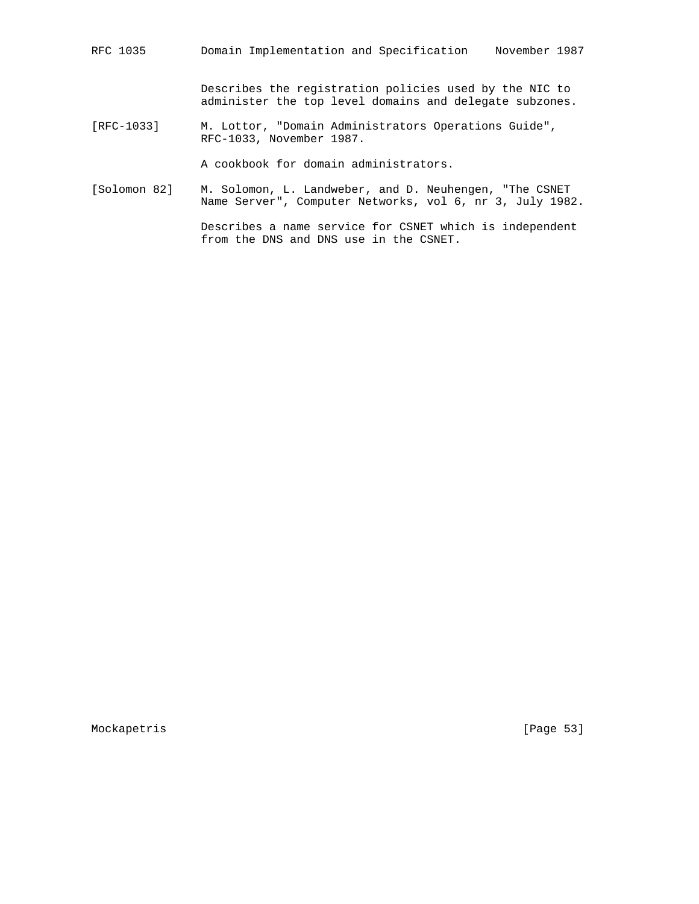Describes the registration policies used by the NIC to administer the top level domains and delegate subzones.

[RFC-1033] M. Lottor, "Domain Administrators Operations Guide", RFC-1033, November 1987.

A cookbook for domain administrators.

[Solomon 82] M. Solomon, L. Landweber, and D. Neuhengen, "The CSNET Name Server", Computer Networks, vol 6, nr 3, July 1982.

> Describes a name service for CSNET which is independent from the DNS and DNS use in the CSNET.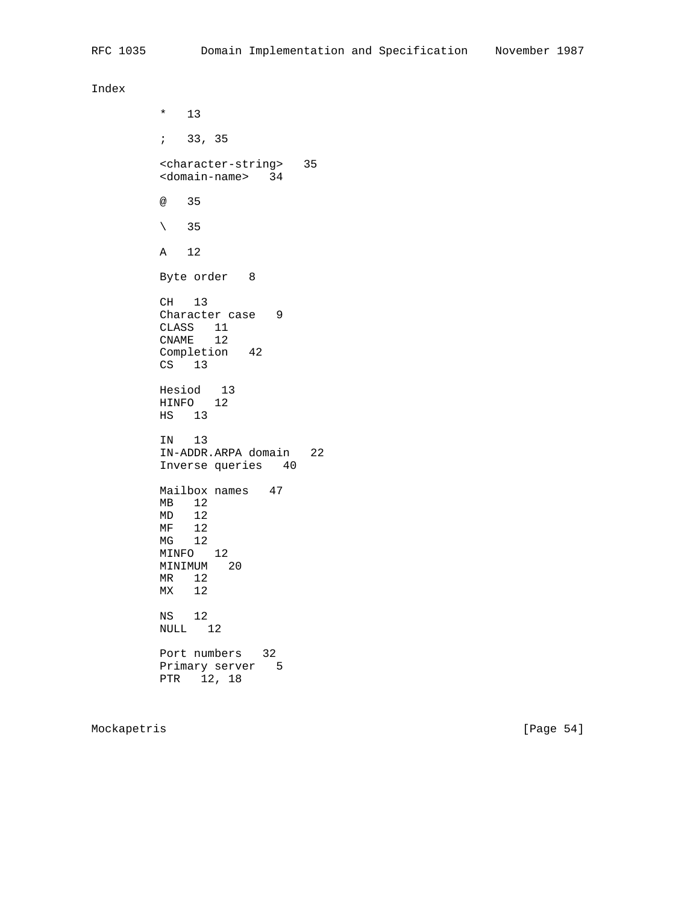## Index

 \* 13 ; 33, 35 <character-string> 35 <domain-name> 34 @ 35 \ 35 A 12 Byte order 8 CH 13 Character case 9 CLASS 11 CNAME 12 Completion 42 CS 13 Hesiod 13 HINFO 12 HS 13 IN 13 IN-ADDR.ARPA domain 22 Inverse queries 40 Mailbox names 47 MB 12 MD 12 MF 12 MG 12 MINFO 12 MINIMUM 20 MR 12 MX 12 NS 12 NULL 12 Port numbers 32 Primary server 5 PTR 12, 18

Mockapetris [Page 54]